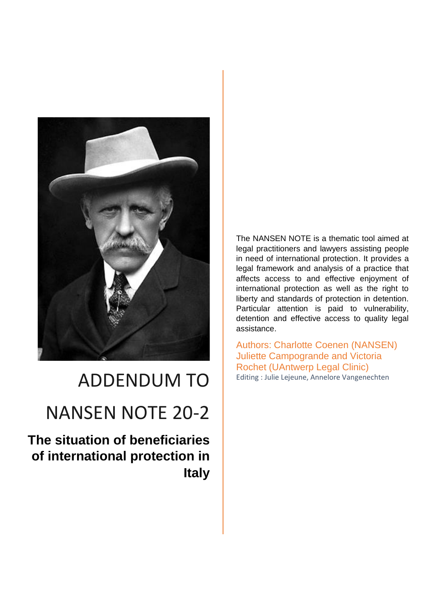

# ADDENDUM TO

# NANSEN NOTE 20-2

**The situation of beneficiaries of international protection in Italy**

The NANSEN NOTE is a thematic tool aimed at legal practitioners and lawyers assisting people in need of international protection. It provides a legal framework and analysis of a practice that affects access to and effective enjoyment of international protection as well as the right to liberty and standards of protection in detention. Particular attention is paid to vulnerability, detention and effective access to quality legal assistance.

Authors: Charlotte Coenen (NANSEN) Juliette Campogrande and Victoria Rochet (UAntwerp Legal Clinic) Editing : Julie Lejeune, Annelore Vangenechten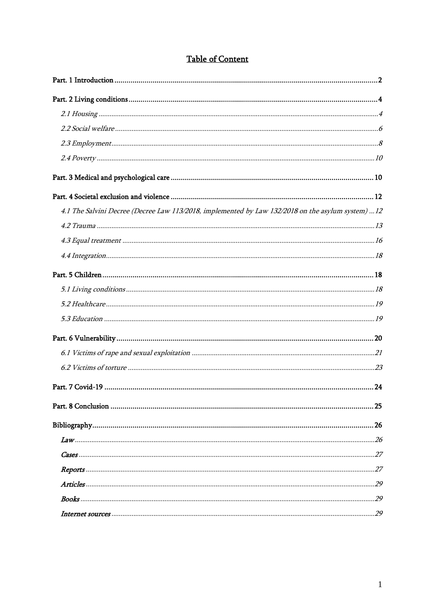# **Table of Content**

| 4.1 The Salvini Decree (Decree Law 113/2018, implemented by Law 132/2018 on the asylum system)  12 |
|----------------------------------------------------------------------------------------------------|
|                                                                                                    |
|                                                                                                    |
|                                                                                                    |
|                                                                                                    |
|                                                                                                    |
|                                                                                                    |
|                                                                                                    |
|                                                                                                    |
|                                                                                                    |
|                                                                                                    |
|                                                                                                    |
| .25                                                                                                |
|                                                                                                    |
|                                                                                                    |
|                                                                                                    |
|                                                                                                    |
|                                                                                                    |
|                                                                                                    |
|                                                                                                    |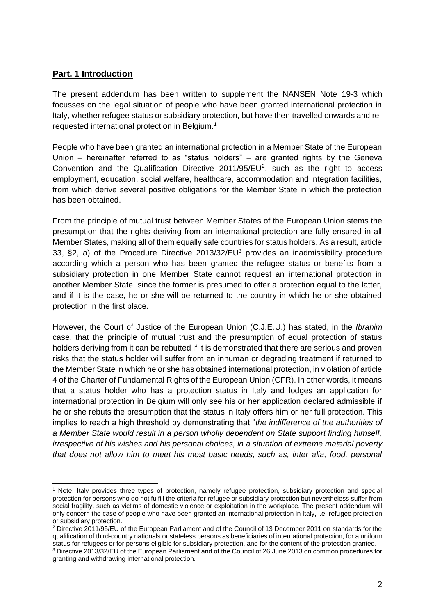## <span id="page-2-0"></span>**Part. 1 Introduction**

The present addendum has been written to supplement the NANSEN Note 19-3 which focusses on the legal situation of people who have been granted international protection in Italy, whether refugee status or subsidiary protection, but have then travelled onwards and rerequested international protection in Belgium.<sup>1</sup>

People who have been granted an international protection in a Member State of the European Union – hereinafter referred to as "status holders" – are granted rights by the Geneva Convention and the Qualification Directive  $2011/95/EU<sup>2</sup>$ , such as the right to access employment, education, social welfare, healthcare, accommodation and integration facilities, from which derive several positive obligations for the Member State in which the protection has been obtained.

From the principle of mutual trust between Member States of the European Union stems the presumption that the rights deriving from an international protection are fully ensured in all Member States, making all of them equally safe countries for status holders. As a result, article 33, §2, a) of the Procedure Directive 2013/32/EU<sup>3</sup> provides an inadmissibility procedure according which a person who has been granted the refugee status or benefits from a subsidiary protection in one Member State cannot request an international protection in another Member State, since the former is presumed to offer a protection equal to the latter, and if it is the case, he or she will be returned to the country in which he or she obtained protection in the first place.

However, the Court of Justice of the European Union (C.J.E.U.) has stated, in the *Ibrahim*  case, that the principle of mutual trust and the presumption of equal protection of status holders deriving from it can be rebutted if it is demonstrated that there are serious and proven risks that the status holder will suffer from an inhuman or degrading treatment if returned to the Member State in which he or she has obtained international protection, in violation of article 4 of the Charter of Fundamental Rights of the European Union (CFR). In other words, it means that a status holder who has a protection status in Italy and lodges an application for international protection in Belgium will only see his or her application declared admissible if he or she rebuts the presumption that the status in Italy offers him or her full protection. This implies to reach a high threshold by demonstrating that "*the indifference of the authorities of a Member State would result in a person wholly dependent on State support finding himself, irrespective of his wishes and his personal choices, in a situation of extreme material poverty that does not allow him to meet his most basic needs, such as, inter alia, food, personal* 

<sup>1</sup> Note: Italy provides three types of protection, namely refugee protection, subsidiary protection and special protection for persons who do not fulfill the criteria for refugee or subsidiary protection but nevertheless suffer from social fragility, such as victims of domestic violence or exploitation in the workplace. The present addendum will only concern the case of people who have been granted an international protection in Italy, i.e. refugee protection or subsidiary protection.

<sup>2</sup> Directive 2011/95/EU of the European Parliament and of the Council of 13 December 2011 on standards for the qualification of third-country nationals or stateless persons as beneficiaries of international protection, for a uniform status for refugees or for persons eligible for subsidiary protection, and for the content of the protection granted.

<sup>3</sup> Directive 2013/32/EU of the European Parliament and of the Council of 26 June 2013 on common procedures for granting and withdrawing international protection.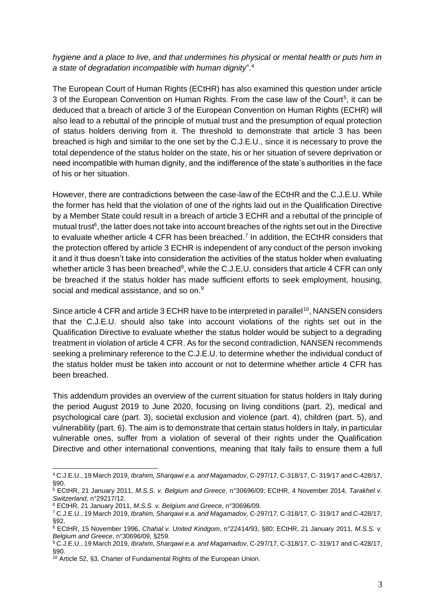## *hygiene and a place to live, and that undermines his physical or mental health or puts him in a state of degradation incompatible with human dignity*".<sup>4</sup>

The European Court of Human Rights (ECtHR) has also examined this question under article 3 of the European Convention on Human Rights. From the case law of the Court<sup>5</sup>, it can be deduced that a breach of article 3 of the European Convention on Human Rights (ECHR) will also lead to a rebuttal of the principle of mutual trust and the presumption of equal protection of status holders deriving from it. The threshold to demonstrate that article 3 has been breached is high and similar to the one set by the C.J.E.U., since it is necessary to prove the total dependence of the status holder on the state, his or her situation of severe deprivation or need incompatible with human dignity, and the indifference of the state's authorities in the face of his or her situation.

However, there are contradictions between the case-law of the ECtHR and the C.J.E.U. While the former has held that the violation of one of the rights laid out in the Qualification Directive by a Member State could result in a breach of article 3 ECHR and a rebuttal of the principle of mutual trust<sup>6</sup>, the latter does not take into account breaches of the rights set out in the Directive to evaluate whether article 4 CFR has been breached.<sup>7</sup> In addition, the ECtHR considers that the protection offered by article 3 ECHR is independent of any conduct of the person invoking it and it thus doesn't take into consideration the activities of the status holder when evaluating whether article 3 has been breached<sup>8</sup>, while the C.J.E.U. considers that article 4 CFR can only be breached if the status holder has made sufficient efforts to seek employment, housing, social and medical assistance, and so on.<sup>9</sup>

Since article 4 CFR and article 3 ECHR have to be interpreted in parallel<sup>10</sup>, NANSEN considers that the C.J.E.U. should also take into account violations of the rights set out in the Qualification Directive to evaluate whether the status holder would be subject to a degrading treatment in violation of article 4 CFR. As for the second contradiction, NANSEN recommends seeking a preliminary reference to the C.J.E.U. to determine whether the individual conduct of the status holder must be taken into account or not to determine whether article 4 CFR has been breached.

This addendum provides an overview of the current situation for status holders in Italy during the period August 2019 to June 2020, focusing on living conditions (part. 2), medical and psychological care (part. 3), societal exclusion and violence (part. 4), children (part. 5), and vulnerability (part. 6). The aim is to demonstrate that certain status holders in Italy, in particular vulnerable ones, suffer from a violation of several of their rights under the Qualification Directive and other international conventions, meaning that Italy fails to ensure them a full

<sup>4</sup> C.J.E.U., 19 March 2019, *Ibrahim, Sharqawi e.a. and Magamadov*, C-297/17, C-318/17, C- 319/17 and C-428/17, §90.

<sup>5</sup> ECtHR, 21 January 2011, *M.S.S. v. Belgium and Greece*, n°30696/09; ECtHR, 4 November 2014, *Tarakhel v. Switzerland,* n°29217/12.

<sup>6</sup> ECtHR, 21 January 2011, *M.S.S. v. Belgium and Greece*, n°30696/09.

<sup>7</sup> C.J.E.U., 19 March 2019, *Ibrahim, Sharqawi e.a. and Magamadov*, C-297/17, C-318/17, C- 319/17 and C-428/17, §92.

<sup>8</sup> ECtHR, 15 November 1996, *Chahal v. United Kindgom*, n°22414/93, §80; ECtHR, 21 January 2011, *M.S.S. v. Belgium and Greece*, n°30696/09, §259.

<sup>9</sup> C.J.E.U., 19 March 2019, *Ibrahim, Sharqawi e.a. and Magamadov*, C-297/17, C-318/17, C- 319/17 and C-428/17, §90.

<sup>&</sup>lt;sup>10</sup> Article 52, §3, Charter of Fundamental Rights of the European Union.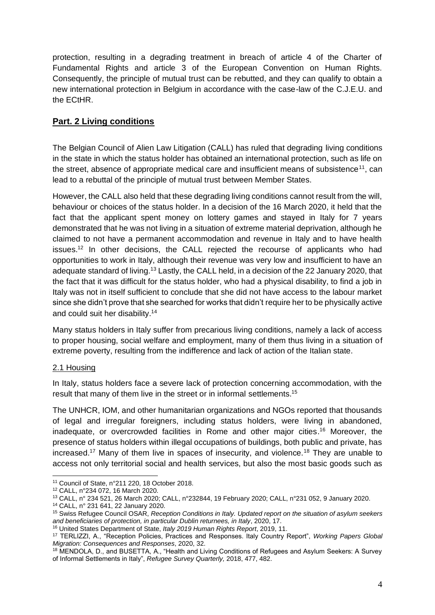protection, resulting in a degrading treatment in breach of article 4 of the Charter of Fundamental Rights and article 3 of the European Convention on Human Rights. Consequently, the principle of mutual trust can be rebutted, and they can qualify to obtain a new international protection in Belgium in accordance with the case-law of the C.J.E.U. and the ECtHR.

# <span id="page-4-0"></span>**Part. 2 Living conditions**

The Belgian Council of Alien Law Litigation (CALL) has ruled that degrading living conditions in the state in which the status holder has obtained an international protection, such as life on the street, absence of appropriate medical care and insufficient means of subsistence<sup>11</sup>, can lead to a rebuttal of the principle of mutual trust between Member States.

However, the CALL also held that these degrading living conditions cannot result from the will, behaviour or choices of the status holder. In a decision of the 16 March 2020, it held that the fact that the applicant spent money on lottery games and stayed in Italy for 7 years demonstrated that he was not living in a situation of extreme material deprivation, although he claimed to not have a permanent accommodation and revenue in Italy and to have health issues.<sup>12</sup> In other decisions, the CALL rejected the recourse of applicants who had opportunities to work in Italy, although their revenue was very low and insufficient to have an adequate standard of living.<sup>13</sup> Lastly, the CALL held, in a decision of the 22 January 2020, that the fact that it was difficult for the status holder, who had a physical disability, to find a job in Italy was not in itself sufficient to conclude that she did not have access to the labour market since she didn't prove that she searched for works that didn't require her to be physically active and could suit her disability.<sup>14</sup>

Many status holders in Italy suffer from precarious living conditions, namely a lack of access to proper housing, social welfare and employment, many of them thus living in a situation of extreme poverty, resulting from the indifference and lack of action of the Italian state.

## <span id="page-4-1"></span>2.1 Housing

In Italy, status holders face a severe lack of protection concerning accommodation, with the result that many of them live in the street or in informal settlements.<sup>15</sup>

The UNHCR, IOM, and other humanitarian organizations and NGOs reported that thousands of legal and irregular foreigners, including status holders, were living in abandoned, inadequate, or overcrowded facilities in Rome and other major cities. <sup>16</sup> Moreover, the presence of status holders within illegal occupations of buildings, both public and private, has increased.<sup>17</sup> Many of them live in spaces of insecurity, and violence.<sup>18</sup> They are unable to access not only territorial social and health services, but also the most basic goods such as

<sup>11</sup> Council of State, n°211 220, 18 October 2018.

<sup>12</sup> CALL, n°234 072, 16 March 2020.

<sup>13</sup> CALL, n° 234 521, 26 March 2020; CALL, n°232844, 19 February 2020; CALL, n°231 052, 9 January 2020.

<sup>14</sup> CALL, n° 231 641, 22 January 2020.

<sup>15</sup> Swiss Refugee Council OSAR, *Reception Conditions in Italy. Updated report on the situation of asylum seekers and beneficiaries of protection, in particular Dublin returnees, in Italy*, 2020, 17.

<sup>16</sup> United States Department of State, *Italy 2019 Human Rights Report*, 2019, 11.

<sup>17</sup> TERLIZZI, A., "Reception Policies, Practices and Responses. Italy Country Report", *Working Papers Global Migration: Consequences and Responses*, 2020, 32.

<sup>18</sup> MENDOLA, D., and BUSETTA, A., "Health and Living Conditions of Refugees and Asylum Seekers: A Survey of Informal Settlements in Italy", *Refugee Survey Quarterly,* 2018, 477, 482.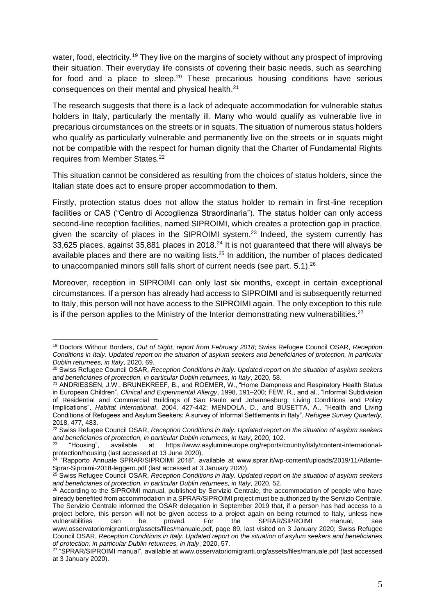water, food, electricity.<sup>19</sup> They live on the margins of society without any prospect of improving their situation. Their everyday life consists of covering their basic needs, such as searching for food and a place to sleep. $20$  These precarious housing conditions have serious consequences on their mental and physical health.<sup>21</sup>

The research suggests that there is a lack of adequate accommodation for vulnerable status holders in Italy, particularly the mentally ill. Many who would qualify as vulnerable live in precarious circumstances on the streets or in squats. The situation of numerous status holders who qualify as particularly vulnerable and permanently live on the streets or in squats might not be compatible with the respect for human dignity that the Charter of Fundamental Rights requires from Member States.<sup>22</sup>

This situation cannot be considered as resulting from the choices of status holders, since the Italian state does act to ensure proper accommodation to them.

Firstly, protection status does not allow the status holder to remain in first-line reception facilities or CAS ("Centro di Accoglienza Straordinaria"). The status holder can only access second-line reception facilities, named SIPROIMI, which creates a protection gap in practice, given the scarcity of places in the SIPROIMI system.<sup>23</sup> Indeed, the system currently has 33,625 places, against 35,881 places in 2018.<sup>24</sup> It is not guaranteed that there will always be available places and there are no waiting lists.<sup>25</sup> In addition, the number of places dedicated to unaccompanied minors still falls short of current needs (see part. 5.1).<sup>26</sup>

Moreover, reception in SIPROIMI can only last six months, except in certain exceptional circumstances. If a person has already had access to SIPROIMI and is subsequently returned to Italy, this person will not have access to the SIPROIMI again. The only exception to this rule is if the person applies to the Ministry of the Interior demonstrating new vulnerabilities. $27$ 

<sup>19</sup> Doctors Without Borders, *Out of Sight, report from February 2018*; Swiss Refugee Council OSAR, *Reception Conditions in Italy. Updated report on the situation of asylum seekers and beneficiaries of protection, in particular Dublin returnees, in Italy*, 2020, 69.

<sup>20</sup> Swiss Refugee Council OSAR, *Reception Conditions in Italy. Updated report on the situation of asylum seekers and beneficiaries of protection, in particular Dublin returnees, in Italy*, 2020, 58.

<sup>21</sup> ANDRIESSEN, J.W., BRUNEKREEF, B., and ROEMER, W., "Home Dampness and Respiratory Health Status in European Children", *Clinical and Experimental Allergy*, 1998, 191–200; FEW, R., and al., "Informal Subdivision of Residential and Commercial Buildings of Sao Paulo and Johannesburg: Living Conditions and Policy Implications", *Habitat International*, 2004, 427-442; MENDOLA, D., and BUSETTA, A., "Health and Living Conditions of Refugees and Asylum Seekers: A survey of Informal Settlements in Italy", *Refugee Survey Quarterly,*  2018, 477, 483.

<sup>22</sup> Swiss Refugee Council OSAR, *Reception Conditions in Italy. Updated report on the situation of asylum seekers and beneficiaries of protection, in particular Dublin returnees, in Italy, 2020, 102.*<br><sup>23</sup> "Housing" available at https://www.asylumineurope.org/reports/c

[https://www.asylumineurope.org/reports/country/italy/content-international](https://www.asylumineurope.org/reports/country/italy/content-international-protection/housing)[protection/housing](https://www.asylumineurope.org/reports/country/italy/content-international-protection/housing) (last accessed at 13 June 2020).

<sup>&</sup>lt;sup>24</sup> "Rapporto Annuale SPRAR/SIPROIMI 2018", available at www.sprar.it/wp-content/uploads/2019/11/Atlante-Sprar-Siproimi-2018-leggero.pdf (last accessed at 3 January 2020).

<sup>25</sup> Swiss Refugee Council OSAR, *Reception Conditions in Italy. Updated report on the situation of asylum seekers and beneficiaries of protection, in particular Dublin returnees, in Italy*, 2020, 52.

<sup>&</sup>lt;sup>26</sup> According to the SIPROIMI manual, published by Servizio Centrale, the accommodation of people who have already benefited from accommodation in a SPRAR/SIPROIMI project must be authorized by the Servizio Centrale. The Servizio Centrale informed the OSAR delegation in September 2019 that, if a person has had access to a project before, this person will not be given access to a project again on being returned to Italy, unless new<br>vulnerabilities can be proved. For the SPRAR/SIPROIMI manual, see vulnerabilities can be proved. For the SPRAR/SIPROIMI manual, see www.osservatoriomigranti.org/assets/files/manuale.pdf, page 89, last visited on 3 January 2020; Swiss Refugee Council OSAR, *Reception Conditions in Italy. Updated report on the situation of asylum seekers and beneficiaries of protection, in particular Dublin returnees, in Italy*, 2020, 57.

<sup>&</sup>lt;sup>27</sup> "SPRAR/SIPROIMI manual", available at [www.osservatoriomigranti.org/assets/files/manuale.pdf](http://www.osservatoriomigranti.org/assets/files/manuale.pdf) (last accessed at 3 January 2020).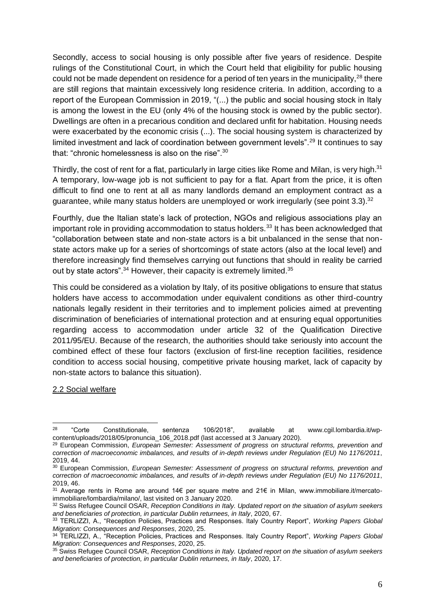Secondly, access to social housing is only possible after five years of residence. Despite rulings of the Constitutional Court, in which the Court held that eligibility for public housing could not be made dependent on residence for a period of ten years in the municipality,  $^{28}$  there are still regions that maintain excessively long residence criteria. In addition, according to a report of the European Commission in 2019, "(...) the public and social housing stock in Italy is among the lowest in the EU (only 4% of the housing stock is owned by the public sector). Dwellings are often in a precarious condition and declared unfit for habitation. Housing needs were exacerbated by the economic crisis (...). The social housing system is characterized by limited investment and lack of coordination between government levels".<sup>29</sup> It continues to say that: "chronic homelessness is also on the rise".<sup>30</sup>

Thirdly, the cost of rent for a flat, particularly in large cities like Rome and Milan, is very high.<sup>31</sup> A temporary, low-wage job is not sufficient to pay for a flat. Apart from the price, it is often difficult to find one to rent at all as many landlords demand an employment contract as a guarantee, while many status holders are unemployed or work irregularly (see point  $3.3$ ).<sup>32</sup>

Fourthly, due the Italian state's lack of protection, NGOs and religious associations play an important role in providing accommodation to status holders.<sup>33</sup> It has been acknowledged that "collaboration between state and non-state actors is a bit unbalanced in the sense that nonstate actors make up for a series of shortcomings of state actors (also at the local level) and therefore increasingly find themselves carrying out functions that should in reality be carried out by state actors".<sup>34</sup> However, their capacity is extremely limited.<sup>35</sup>

This could be considered as a violation by Italy, of its positive obligations to ensure that status holders have access to accommodation under equivalent conditions as other third-country nationals legally resident in their territories and to implement policies aimed at preventing discrimination of beneficiaries of international protection and at ensuring equal opportunities regarding access to accommodation under article 32 of the Qualification Directive 2011/95/EU. Because of the research, the authorities should take seriously into account the combined effect of these four factors (exclusion of first-line reception facilities, residence condition to access social housing, competitive private housing market, lack of capacity by non-state actors to balance this situation).

#### <span id="page-6-0"></span>2.2 Social welfare

<sup>28</sup> "Corte Constitutionale, sentenza 106/2018", available at [www.cgil.lombardia.it/wp](http://www.cgil.lombardia.it/wp-content/uploads/2018/05/pronuncia_106_2018.pdf)[content/uploads/2018/05/pronuncia\\_106\\_2018.pdf](http://www.cgil.lombardia.it/wp-content/uploads/2018/05/pronuncia_106_2018.pdf) (last accessed at 3 January 2020).

<sup>29</sup> European Commission, *European Semester: Assessment of progress on structural reforms, prevention and correction of macroeconomic imbalances, and results of in-depth reviews under Regulation (EU) No 1176/2011*, 2019, 44.

<sup>30</sup> European Commission, *European Semester: Assessment of progress on structural reforms, prevention and correction of macroeconomic imbalances, and results of in-depth reviews under Regulation (EU) No 1176/2011*, 2019, 46.

<sup>&</sup>lt;sup>31</sup> Average rents in Rome are around 14€ per square metre and 21€ in Milan, www.immobiliare.it/mercatoimmobiliare/lombardia/milano/, last visited on 3 January 2020.

<sup>32</sup> Swiss Refugee Council OSAR, *Reception Conditions in Italy. Updated report on the situation of asylum seekers and beneficiaries of protection, in particular Dublin returnees, in Italy*, 2020, 67.

<sup>33</sup> TERLIZZI, A., "Reception Policies, Practices and Responses. Italy Country Report", *Working Papers Global Migration: Consequences and Responses*, 2020, 25.

<sup>34</sup> TERLIZZI, A., "Reception Policies, Practices and Responses. Italy Country Report", *Working Papers Global Migration: Consequences and Responses*, 2020, 25.

<sup>35</sup> Swiss Refugee Council OSAR, *Reception Conditions in Italy. Updated report on the situation of asylum seekers and beneficiaries of protection, in particular Dublin returnees, in Italy*, 2020, 17.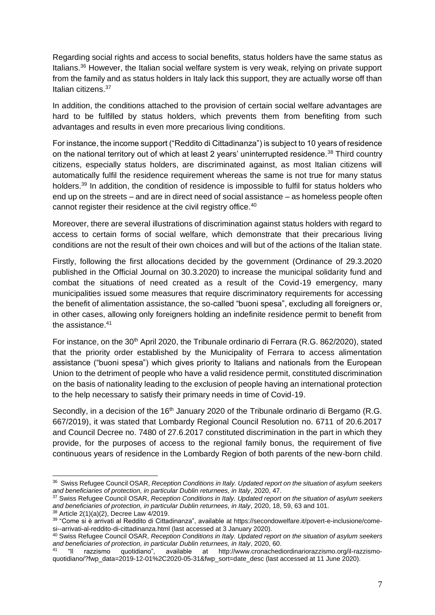Regarding social rights and access to social benefits, status holders have the same status as Italians.<sup>36</sup> However, the Italian social welfare system is very weak, relying on private support from the family and as status holders in Italy lack this support, they are actually worse off than Italian citizens.<sup>37</sup>

In addition, the conditions attached to the provision of certain social welfare advantages are hard to be fulfilled by status holders, which prevents them from benefiting from such advantages and results in even more precarious living conditions.

For instance, the income support ("Reddito di Cittadinanza") is subject to 10 years of residence on the national territory out of which at least 2 years' uninterrupted residence.<sup>38</sup> Third country citizens, especially status holders, are discriminated against, as most Italian citizens will automatically fulfil the residence requirement whereas the same is not true for many status holders.<sup>39</sup> In addition, the condition of residence is impossible to fulfil for status holders who end up on the streets – and are in direct need of social assistance – as homeless people often cannot register their residence at the civil registry office.<sup>40</sup>

Moreover, there are several illustrations of discrimination against status holders with regard to access to certain forms of social welfare, which demonstrate that their precarious living conditions are not the result of their own choices and will but of the actions of the Italian state.

Firstly, following the first allocations decided by the government (Ordinance of 29.3.2020 published in the Official Journal on 30.3.2020) to increase the municipal solidarity fund and combat the situations of need created as a result of the Covid-19 emergency, many municipalities issued some measures that require discriminatory requirements for accessing the benefit of alimentation assistance, the so-called "buoni spesa", excluding all foreigners or, in other cases, allowing only foreigners holding an indefinite residence permit to benefit from the assistance.<sup>41</sup>

For instance, on the 30<sup>th</sup> April 2020, the Tribunale ordinario di Ferrara (R.G. 862/2020), stated that the priority order established by the Municipality of Ferrara to access alimentation assistance ("buoni spesa") which gives priority to Italians and nationals from the European Union to the detriment of people who have a valid residence permit, constituted discrimination on the basis of nationality leading to the exclusion of people having an international protection to the help necessary to satisfy their primary needs in time of Covid-19.

Secondly, in a decision of the  $16<sup>th</sup>$  January 2020 of the Tribunale ordinario di Bergamo (R.G. 667/2019), it was stated that Lombardy Regional Council Resolution no. 6711 of 20.6.2017 and Council Decree no. 7480 of 27.6.2017 constituted discrimination in the part in which they provide, for the purposes of access to the regional family bonus, the requirement of five continuous years of residence in the Lombardy Region of both parents of the new-born child.

<sup>36</sup> Swiss Refugee Council OSAR, *Reception Conditions in Italy. Updated report on the situation of asylum seekers and beneficiaries of protection, in particular Dublin returnees, in Italy*, 2020, 47.

<sup>37</sup> Swiss Refugee Council OSAR, *Reception Conditions in Italy. Updated report on the situation of asylum seekers and beneficiaries of protection, in particular Dublin returnees, in Italy*, 2020, 18, 59, 63 and 101.

<sup>38</sup> Article 2(1)(a)(2), Decree Law 4/2019.

<sup>39</sup> "Come si è arrivati al Reddito di Cittadinanza", available at [https://secondowelfare.it/povert-e-inclusione/come](https://secondowelfare.it/povert-e-inclusione/come-si--arrivati-al-reddito-di-cittadinanza.html)[si--arrivati-al-reddito-di-cittadinanza.html](https://secondowelfare.it/povert-e-inclusione/come-si--arrivati-al-reddito-di-cittadinanza.html) (last accessed at 3 January 2020).

<sup>40</sup> Swiss Refugee Council OSAR, *Reception Conditions in Italy. Updated report on the situation of asylum seekers and beneficiaries of protection, in particular Dublin returnees, in Italy*, 2020, 60.

<sup>41</sup> "Il razzismo quotidiano", available at [http://www.cronachediordinariorazzismo.org/il-razzismo](http://www.cronachediordinariorazzismo.org/il-razzismo-quotidiano/?fwp_data=2019-12-01%2C2020-05-31&fwp_sort=date_desc)[quotidiano/?fwp\\_data=2019-12-01%2C2020-05-31&fwp\\_sort=date\\_desc](http://www.cronachediordinariorazzismo.org/il-razzismo-quotidiano/?fwp_data=2019-12-01%2C2020-05-31&fwp_sort=date_desc) (last accessed at 11 June 2020).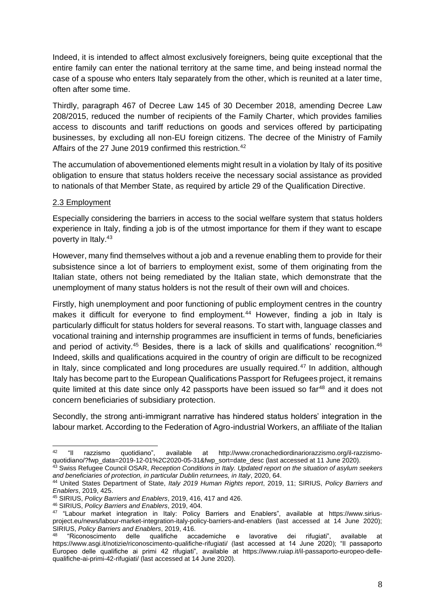Indeed, it is intended to affect almost exclusively foreigners, being quite exceptional that the entire family can enter the national territory at the same time, and being instead normal the case of a spouse who enters Italy separately from the other, which is reunited at a later time, often after some time.

Thirdly, paragraph 467 of Decree Law 145 of 30 December 2018, amending Decree Law 208/2015, reduced the number of recipients of the Family Charter, which provides families access to discounts and tariff reductions on goods and services offered by participating businesses, by excluding all non-EU foreign citizens. The decree of the Ministry of Family Affairs of the 27 June 2019 confirmed this restriction.<sup>42</sup>

The accumulation of abovementioned elements might result in a violation by Italy of its positive obligation to ensure that status holders receive the necessary social assistance as provided to nationals of that Member State, as required by article 29 of the Qualification Directive.

### <span id="page-8-0"></span>2.3 Employment

Especially considering the barriers in access to the social welfare system that status holders experience in Italy, finding a job is of the utmost importance for them if they want to escape poverty in Italy.<sup>43</sup>

However, many find themselves without a job and a revenue enabling them to provide for their subsistence since a lot of barriers to employment exist, some of them originating from the Italian state, others not being remediated by the Italian state, which demonstrate that the unemployment of many status holders is not the result of their own will and choices.

Firstly, high unemployment and poor functioning of public employment centres in the country makes it difficult for everyone to find employment.<sup>44</sup> However, finding a job in Italy is particularly difficult for status holders for several reasons. To start with, language classes and vocational training and internship programmes are insufficient in terms of funds, beneficiaries and period of activity.<sup>45</sup> Besides, there is a lack of skills and qualifications' recognition.<sup>46</sup> Indeed, skills and qualifications acquired in the country of origin are difficult to be recognized in Italy, since complicated and long procedures are usually required. $47$  In addition, although Italy has become part to the European Qualifications Passport for Refugees project, it remains quite limited at this date since only 42 passports have been issued so far<sup>48</sup> and it does not concern beneficiaries of subsidiary protection.

Secondly, the strong anti-immigrant narrative has hindered status holders' integration in the labour market. According to the Federation of Agro-industrial Workers, an affiliate of the Italian

<sup>42</sup> "Il razzismo quotidiano", available at [http://www.cronachediordinariorazzismo.org/il-razzismo](http://www.cronachediordinariorazzismo.org/il-razzismo-quotidiano/?fwp_data=2019-12-01%2C2020-05-31&fwp_sort=date_desc)[quotidiano/?fwp\\_data=2019-12-01%2C2020-05-31&fwp\\_sort=date\\_desc](http://www.cronachediordinariorazzismo.org/il-razzismo-quotidiano/?fwp_data=2019-12-01%2C2020-05-31&fwp_sort=date_desc) (last accessed at 11 June 2020).

<sup>43</sup> Swiss Refugee Council OSAR, *Reception Conditions in Italy. Updated report on the situation of asylum seekers and beneficiaries of protection, in particular Dublin returnees, in Italy*, 2020, 64.

<sup>44</sup> United States Department of State, *Italy 2019 Human Rights report*, 2019, 11; SIRIUS, *Policy Barriers and Enablers*, 2019, 425.

<sup>45</sup> SIRIUS, *Policy Barriers and Enablers*, 2019, 416, 417 and 426.

<sup>46</sup> SIRIUS, *Policy Barriers and Enablers*, 2019, 404.

<sup>47</sup> "Labour market integration in Italy: Policy Barriers and Enablers", available at [https://www.sirius](https://www.sirius-project.eu/news/labour-market-integration-italy-policy-barriers-and-enablers)[project.eu/news/labour-market-integration-italy-policy-barriers-and-enablers](https://www.sirius-project.eu/news/labour-market-integration-italy-policy-barriers-and-enablers) (last accessed at 14 June 2020); SIRIUS, *Policy Barriers and Enablers*, 2019, 416.

<sup>48</sup> "Riconoscimento delle qualifiche accademiche e lavorative dei rifugiati", available at <https://www.asgi.it/notizie/riconoscimento-qualifiche-rifugiati/> (last accessed at 14 June 2020); "Il passaporto Europeo delle qualifiche ai primi 42 rifugiati", available at [https://www.ruiap.it/il-passaporto-europeo-delle](https://www.ruiap.it/il-passaporto-europeo-delle-qualifiche-ai-primi-42-rifugiati/)[qualifiche-ai-primi-42-rifugiati/](https://www.ruiap.it/il-passaporto-europeo-delle-qualifiche-ai-primi-42-rifugiati/) (last accessed at 14 June 2020).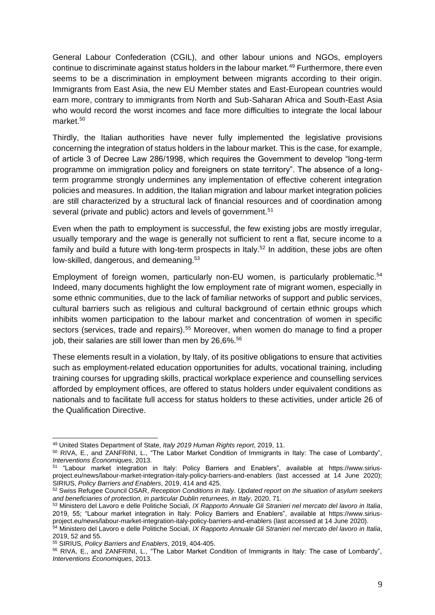General Labour Confederation (CGIL), and other labour unions and NGOs, employers continue to discriminate against status holders in the labour market.<sup>49</sup> Furthermore, there even seems to be a discrimination in employment between migrants according to their origin. Immigrants from East Asia, the new EU Member states and East-European countries would earn more, contrary to immigrants from North and Sub-Saharan Africa and South-East Asia who would record the worst incomes and face more difficulties to integrate the local labour market.<sup>50</sup>

Thirdly, the Italian authorities have never fully implemented the legislative provisions concerning the integration of status holders in the labour market. This is the case, for example, of article 3 of Decree Law 286/1998, which requires the Government to develop "long-term programme on immigration policy and foreigners on state territory". The absence of a longterm programme strongly undermines any implementation of effective coherent integration policies and measures. In addition, the Italian migration and labour market integration policies are still characterized by a structural lack of financial resources and of coordination among several (private and public) actors and levels of government.<sup>51</sup>

Even when the path to employment is successful, the few existing jobs are mostly irregular, usually temporary and the wage is generally not sufficient to rent a flat, secure income to a family and build a future with long-term prospects in Italy.<sup>52</sup> In addition, these jobs are often low-skilled, dangerous, and demeaning.<sup>53</sup>

Employment of foreign women, particularly non-EU women, is particularly problematic.<sup>54</sup> Indeed, many documents highlight the low employment rate of migrant women, especially in some ethnic communities, due to the lack of familiar networks of support and public services, cultural barriers such as religious and cultural background of certain ethnic groups which inhibits women participation to the labour market and concentration of women in specific sectors (services, trade and repairs).<sup>55</sup> Moreover, when women do manage to find a proper job, their salaries are still lower than men by 26,6%.<sup>56</sup>

These elements result in a violation, by Italy, of its positive obligations to ensure that activities such as employment-related education opportunities for adults, vocational training, including training courses for upgrading skills, practical workplace experience and counselling services afforded by employment offices, are offered to status holders under equivalent conditions as nationals and to facilitate full access for status holders to these activities, under article 26 of the Qualification Directive.

<sup>49</sup> United States Department of State, *Italy 2019 Human Rights report*, 2019, 11.

<sup>50</sup> RIVA, E., and ZANFRINI, L., "The Labor Market Condition of Immigrants in Italy: The case of Lombardy", *Interventions Économiques*, 2013.

<sup>51</sup> "Labour market integration in Italy: Policy Barriers and Enablers", available at [https://www.sirius](https://www.sirius-project.eu/news/labour-market-integration-italy-policy-barriers-and-enablers)[project.eu/news/labour-market-integration-italy-policy-barriers-and-enablers](https://www.sirius-project.eu/news/labour-market-integration-italy-policy-barriers-and-enablers) (last accessed at 14 June 2020); SIRIUS, *Policy Barriers and Enablers*, 2019, 414 and 425.

<sup>52</sup> Swiss Refugee Council OSAR, *Reception Conditions in Italy. Updated report on the situation of asylum seekers and beneficiaries of protection, in particular Dublin returnees, in Italy*, 2020, 71.

<sup>53</sup> Ministero del Lavoro e delle Politiche Sociali, *IX Rapporto Annuale Gli Stranieri nel mercato del lavoro in Italia*, 2019, 55; "Labour market integration in Italy: Policy Barriers and Enablers", available at [https://www.sirius](https://www.sirius-project.eu/news/labour-market-integration-italy-policy-barriers-and-enablers)[project.eu/news/labour-market-integration-italy-policy-barriers-and-enablers](https://www.sirius-project.eu/news/labour-market-integration-italy-policy-barriers-and-enablers) (last accessed at 14 June 2020).

<sup>54</sup> Ministero del Lavoro e delle Politiche Sociali, *IX Rapporto Annuale Gli Stranieri nel mercato del lavoro in Italia*, 2019, 52 and 55.

<sup>55</sup> SIRIUS, *Policy Barriers and Enablers*, 2019, 404-405.

<sup>56</sup> RIVA, E., and ZANFRINI, L., "The Labor Market Condition of Immigrants in Italy: The case of Lombardy", *Interventions Économiques*, 2013.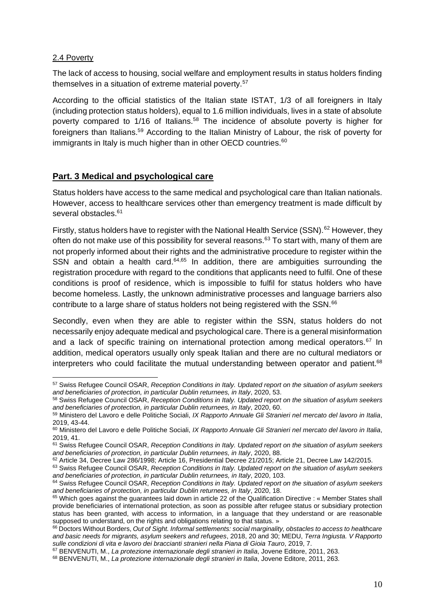### <span id="page-10-0"></span>2.4 Poverty

The lack of access to housing, social welfare and employment results in status holders finding themselves in a situation of extreme material poverty.<sup>57</sup>

According to the official statistics of the Italian state ISTAT, 1/3 of all foreigners in Italy (including protection status holders), equal to 1.6 million individuals, lives in a state of absolute poverty compared to 1/16 of Italians.<sup>58</sup> The incidence of absolute poverty is higher for foreigners than Italians.<sup>59</sup> According to the Italian Ministry of Labour, the risk of poverty for immigrants in Italy is much higher than in other OECD countries.<sup>60</sup>

## <span id="page-10-1"></span>**Part. 3 Medical and psychological care**

Status holders have access to the same medical and psychological care than Italian nationals. However, access to healthcare services other than emergency treatment is made difficult by several obstacles.<sup>61</sup>

Firstly, status holders have to register with the National Health Service (SSN).<sup>62</sup> However, they often do not make use of this possibility for several reasons.<sup>63</sup> To start with, many of them are not properly informed about their rights and the administrative procedure to register within the SSN and obtain a health card.<sup>64,65</sup> In addition, there are ambiguities surrounding the registration procedure with regard to the conditions that applicants need to fulfil. One of these conditions is proof of residence, which is impossible to fulfil for status holders who have become homeless. Lastly, the unknown administrative processes and language barriers also contribute to a large share of status holders not being registered with the SSN.<sup>66</sup>

Secondly, even when they are able to register within the SSN, status holders do not necessarily enjoy adequate medical and psychological care. There is a general misinformation and a lack of specific training on international protection among medical operators.<sup>67</sup> In addition, medical operators usually only speak Italian and there are no cultural mediators or interpreters who could facilitate the mutual understanding between operator and patient.<sup>68</sup>

<sup>57</sup> Swiss Refugee Council OSAR, *Reception Conditions in Italy. Updated report on the situation of asylum seekers and beneficiaries of protection, in particular Dublin returnees, in Italy*, 2020, 53.

<sup>58</sup> Swiss Refugee Council OSAR, *Reception Conditions in Italy. Updated report on the situation of asylum seekers and beneficiaries of protection, in particular Dublin returnees, in Italy*, 2020, 60.

<sup>59</sup> Ministero del Lavoro e delle Politiche Sociali, *IX Rapporto Annuale Gli Stranieri nel mercato del lavoro in Italia*, 2019, 43-44.

<sup>60</sup> Ministero del Lavoro e delle Politiche Sociali, *IX Rapporto Annuale Gli Stranieri nel mercato del lavoro in Italia*, 2019, 41.

<sup>61</sup> Swiss Refugee Council OSAR, *Reception Conditions in Italy. Updated report on the situation of asylum seekers and beneficiaries of protection, in particular Dublin returnees, in Italy*, 2020, 88.

<sup>62</sup> Article 34, Decree Law 286/1998; Article 16, Presidential Decree 21/2015; Article 21, Decree Law 142/2015.

<sup>63</sup> Swiss Refugee Council OSAR, *Reception Conditions in Italy. Updated report on the situation of asylum seekers and beneficiaries of protection, in particular Dublin returnees, in Italy*, 2020, 103.

<sup>64</sup> Swiss Refugee Council OSAR, *Reception Conditions in Italy. Updated report on the situation of asylum seekers and beneficiaries of protection, in particular Dublin returnees, in Italy*, 2020, 18.

<sup>65</sup> Which goes against the guarantees laid down in article 22 of the Qualification Directive : « Member States shall provide beneficiaries of international protection, as soon as possible after refugee status or subsidiary protection status has been granted, with access to information, in a language that they understand or are reasonable supposed to understand, on the rights and obligations relating to that status. »

<sup>66</sup> Doctors Without Borders, *Out of Sight. Informal settlements: social marginality, obstacles to access to healthcare and basic needs for migrants, asylum seekers and refugees*, 2018, 20 and 30; MEDU, *Terra Ingiusta. V Rapporto sulle condizioni di vita e lavoro dei braccianti stranieri nella Piana di Gioia Tauro*, 2019, 7.

<sup>67</sup> BENVENUTI, M., *La protezione internazionale degli stranieri in Italia*, Jovene Editore, 2011, 263.

<sup>68</sup> BENVENUTI, M., *La protezione internazionale degli stranieri in Italia*, Jovene Editore, 2011, 263.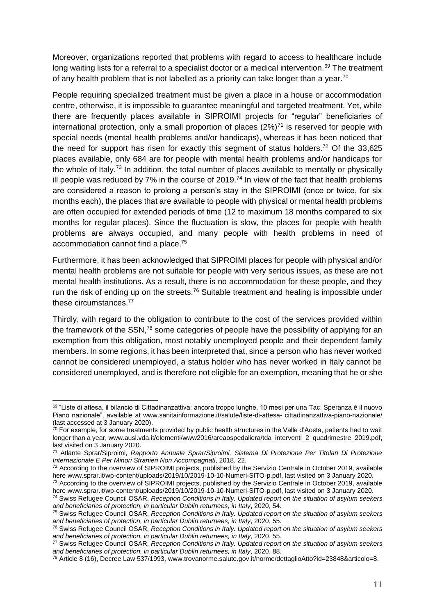Moreover, organizations reported that problems with regard to access to healthcare include long waiting lists for a referral to a specialist doctor or a medical intervention.<sup>69</sup> The treatment of any health problem that is not labelled as a priority can take longer than a year.<sup>70</sup>

People requiring specialized treatment must be given a place in a house or accommodation centre, otherwise, it is impossible to guarantee meaningful and targeted treatment. Yet, while there are frequently places available in SIPROIMI projects for "regular" beneficiaries of international protection, only a small proportion of places  $(2\%)^{71}$  is reserved for people with special needs (mental health problems and/or handicaps), whereas it has been noticed that the need for support has risen for exactly this segment of status holders.<sup>72</sup> Of the  $33,625$ places available, only 684 are for people with mental health problems and/or handicaps for the whole of Italy.<sup>73</sup> In addition, the total number of places available to mentally or physically ill people was reduced by 7% in the course of 2019.<sup>74</sup> In view of the fact that health problems are considered a reason to prolong a person's stay in the SIPROIMI (once or twice, for six months each), the places that are available to people with physical or mental health problems are often occupied for extended periods of time (12 to maximum 18 months compared to six months for regular places). Since the fluctuation is slow, the places for people with health problems are always occupied, and many people with health problems in need of accommodation cannot find a place.<sup>75</sup>

Furthermore, it has been acknowledged that SIPROIMI places for people with physical and/or mental health problems are not suitable for people with very serious issues, as these are not mental health institutions. As a result, there is no accommodation for these people, and they run the risk of ending up on the streets.<sup>76</sup> Suitable treatment and healing is impossible under these circumstances.<sup>77</sup>

Thirdly, with regard to the obligation to contribute to the cost of the services provided within the framework of the SSN,<sup>78</sup> some categories of people have the possibility of applying for an exemption from this obligation, most notably unemployed people and their dependent family members. In some regions, it has been interpreted that, since a person who has never worked cannot be considered unemployed, a status holder who has never worked in Italy cannot be considered unemployed, and is therefore not eligible for an exemption, meaning that he or she

<sup>69 &</sup>quot;Liste di attesa, il bilancio di Cittadinanzattiva: ancora troppo lunghe, 10 mesi per una Tac. Speranza è il nuovo Piano nazionale", available at [www.sanitainformazione.it/salute/liste-di-attesa-](http://www.sanitainformazione.it/salute/liste-di-attesa-%20cittadinanzattiva-piano-nazionale/) cittadinanzattiva-piano-nazionale/ (last accessed at 3 January 2020).

 $^{70}$  For example, for some treatments provided by public health structures in the Valle d'Aosta, patients had to wait longer than a year, www.ausl.vda.it/elementi/www2016/areaospedaliera/tda\_interventi\_2\_quadrimestre\_2019.pdf, last visited on 3 January 2020.

<sup>71</sup> Atlante Sprar/Siproimi, *Rapporto Annuale Sprar/Siproimi. Sistema Di Protezione Per Titolari Di Protezione Internazionale E Per Minori Stranieri Non Accompagnati*, 2018, 22.

<sup>&</sup>lt;sup>72</sup> According to the overview of SIPROIMI projects, published by the Servizio Centrale in October 2019, available here www.sprar.it/wp-content/uploads/2019/10/2019-10-10-Numeri-SITO-p.pdf, last visited on 3 January 2020.

<sup>&</sup>lt;sup>73</sup> According to the overview of SIPROIMI projects, published by the Servizio Centrale in October 2019, available here www.sprar.it/wp-content/uploads/2019/10/2019-10-10-Numeri-SITO-p.pdf, last visited on 3 January 2020.

<sup>74</sup> Swiss Refugee Council OSAR, *Reception Conditions in Italy. Updated report on the situation of asylum seekers and beneficiaries of protection, in particular Dublin returnees, in Italy*, 2020, 54.

<sup>75</sup> Swiss Refugee Council OSAR, *Reception Conditions in Italy. Updated report on the situation of asylum seekers and beneficiaries of protection, in particular Dublin returnees, in Italy*, 2020, 55.

<sup>76</sup> Swiss Refugee Council OSAR, *Reception Conditions in Italy. Updated report on the situation of asylum seekers and beneficiaries of protection, in particular Dublin returnees, in Italy*, 2020, 55.

<sup>77</sup> Swiss Refugee Council OSAR, *Reception Conditions in Italy. Updated report on the situation of asylum seekers and beneficiaries of protection, in particular Dublin returnees, in Italy*, 2020, 88.

<sup>78</sup> Article 8 (16), Decree Law 537/1993, [www.trovanorme.salute.gov.it/norme/dettaglioAtto?id=23848&articolo=8.](http://www.trovanorme.salute.gov.it/norme/dettaglioAtto?id=23848&articolo=8)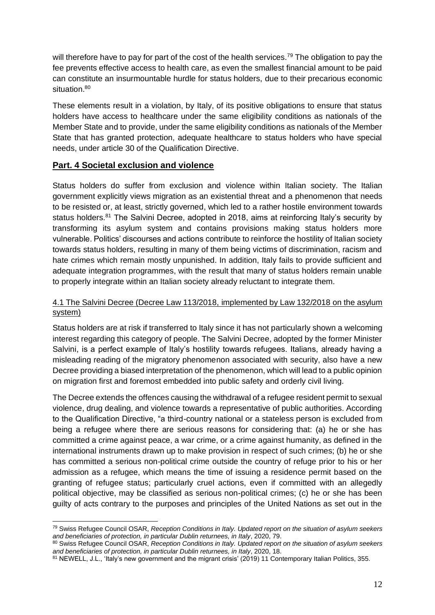will therefore have to pay for part of the cost of the health services.<sup>79</sup> The obligation to pay the fee prevents effective access to health care, as even the smallest financial amount to be paid can constitute an insurmountable hurdle for status holders, due to their precarious economic situation.<sup>80</sup>

These elements result in a violation, by Italy, of its positive obligations to ensure that status holders have access to healthcare under the same eligibility conditions as nationals of the Member State and to provide, under the same eligibility conditions as nationals of the Member State that has granted protection, adequate healthcare to status holders who have special needs, under article 30 of the Qualification Directive.

## <span id="page-12-0"></span>**Part. 4 Societal exclusion and violence**

Status holders do suffer from exclusion and violence within Italian society. The Italian government explicitly views migration as an existential threat and a phenomenon that needs to be resisted or, at least, strictly governed, which led to a rather hostile environment towards status holders.<sup>81</sup> The Salvini Decree, adopted in 2018, aims at reinforcing Italy's security by transforming its asylum system and contains provisions making status holders more vulnerable. Politics' discourses and actions contribute to reinforce the hostility of Italian society towards status holders, resulting in many of them being victims of discrimination, racism and hate crimes which remain mostly unpunished. In addition, Italy fails to provide sufficient and adequate integration programmes, with the result that many of status holders remain unable to properly integrate within an Italian society already reluctant to integrate them.

## <span id="page-12-1"></span>4.1 The Salvini Decree (Decree Law 113/2018, [implemented by Law 132/2018](https://www.ecre.org/salvini-decree-approved-by-italian-senate-amid-citizens-protests-and-institutional-criticism/) on the asylum system)

Status holders are at risk if transferred to Italy since it has not particularly shown a welcoming interest regarding this category of people. The Salvini Decree, adopted by the former Minister Salvini, is a perfect example of Italy's hostility towards refugees. Italians, already having a misleading reading of the migratory phenomenon associated with security, also have a new Decree providing a biased interpretation of the phenomenon, which will lead to a public opinion on migration first and foremost embedded into public safety and orderly civil living.

The Decree extends the offences causing the withdrawal of a refugee resident permit to sexual violence, drug dealing, and violence towards a representative of public authorities. According to the Qualification Directive, "a third-country national or a stateless person is excluded from being a refugee where there are serious reasons for considering that: (a) he or she has committed a crime against peace, a war crime, or a crime against humanity, as defined in the international instruments drawn up to make provision in respect of such crimes; (b) he or she has committed a serious non-political crime outside the country of refuge prior to his or her admission as a refugee, which means the time of issuing a residence permit based on the granting of refugee status; particularly cruel actions, even if committed with an allegedly political objective, may be classified as serious non-political crimes; (c) he or she has been guilty of acts contrary to the purposes and principles of the United Nations as set out in the

<sup>79</sup> Swiss Refugee Council OSAR, *Reception Conditions in Italy. Updated report on the situation of asylum seekers and beneficiaries of protection, in particular Dublin returnees, in Italy*, 2020, 79.

<sup>80</sup> Swiss Refugee Council OSAR, *Reception Conditions in Italy. Updated report on the situation of asylum seekers and beneficiaries of protection, in particular Dublin returnees, in Italy*, 2020, 18.

<sup>81</sup> NEWELL, J.L., 'Italy's new government and the migrant crisis' (2019) 11 Contemporary Italian Politics, 355.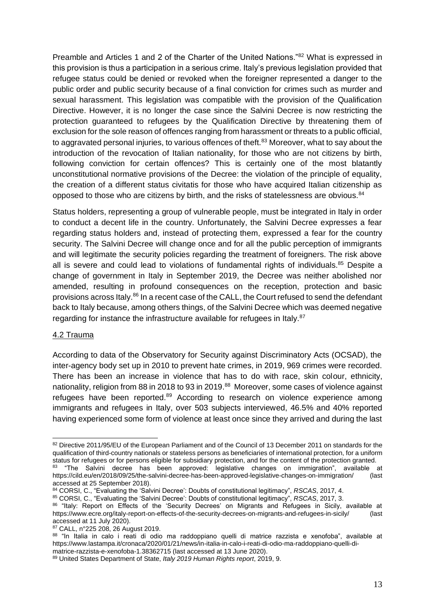Preamble and Articles 1 and 2 of the Charter of the United Nations."<sup>82</sup> What is expressed in this provision is thus a participation in a serious crime. Italy's previous legislation provided that refugee status could be denied or revoked when the foreigner represented a danger to the public order and public security because of a final conviction for crimes such as murder and sexual harassment. This legislation was compatible with the provision of the Qualification Directive. However, it is no longer the case since the Salvini Decree is now restricting the protection guaranteed to refugees by the Qualification Directive by threatening them of exclusion for the sole reason of offences ranging from harassment or threats to a public official, to aggravated personal injuries, to various offences of theft.<sup>83</sup> Moreover, what to say about the introduction of the revocation of Italian nationality, for those who are not citizens by birth, following conviction for certain offences? This is certainly one of the most blatantly unconstitutional normative provisions of the Decree: the violation of the principle of equality, the creation of a different status civitatis for those who have acquired Italian citizenship as opposed to those who are citizens by birth, and the risks of statelessness are obvious.<sup>84</sup>

Status holders, representing a group of vulnerable people, must be integrated in Italy in order to conduct a decent life in the country. Unfortunately, the Salvini Decree expresses a fear regarding status holders and, instead of protecting them, expressed a fear for the country security. The Salvini Decree will change once and for all the public perception of immigrants and will legitimate the security policies regarding the treatment of foreigners. The risk above all is severe and could lead to violations of fundamental rights of individuals.<sup>85</sup> Despite a change of government in Italy in September 2019, the Decree was neither abolished nor amended, resulting in profound consequences on the reception, protection and basic provisions across Italy.<sup>86</sup> In a recent case of the CALL, the Court refused to send the defendant back to Italy because, among others things, of the Salvini Decree which was deemed negative regarding for instance the infrastructure available for refugees in Italy.<sup>87</sup>

### <span id="page-13-0"></span>4.2 Trauma

According to data of the Observatory for Security against Discriminatory Acts (OCSAD), the inter-agency body set up in 2010 to prevent hate crimes, in 2019, 969 crimes were recorded. There has been an increase in violence that has to do with race, skin colour, ethnicity, nationality, religion from 88 in 2018 to 93 in 2019.<sup>88</sup> Moreover, some cases of violence against refugees have been reported.<sup>89</sup> According to research on violence experience among immigrants and refugees in Italy, over 503 subjects interviewed, 46.5% and 40% reported having experienced some form of violence at least once since they arrived and during the last

<sup>82</sup> Directive 2011/95/EU of the European Parliament and of the Council of 13 December 2011 on standards for the qualification of third-country nationals or stateless persons as beneficiaries of international protection, for a uniform status for refugees or for persons eligible for subsidiary protection, and for the content of the protection granted.

<sup>83 &</sup>quot;The Salvini decree has been approved: legislative changes on immigration", available at <https://cild.eu/en/2018/09/25/the-salvini-decree-has-been-approved-legislative-changes-on-immigration/> (last accessed at 25 September 2018).

<sup>84</sup> CORSI, C., "Evaluating the 'Salvini Decree': Doubts of constitutional legitimacy", *RSCAS*, 2017, 4.

<sup>85</sup> CORSI, C., "Evaluating the 'Salvini Decree': Doubts of constitutional legitimacy", *RSCAS*, 2017, 3.

<sup>86 &</sup>quot;Italy: Report on Effects of the 'Security Decrees' on Migrants and Refugees in Sicily, available at <https://www.ecre.org/italy-report-on-effects-of-the-security-decrees-on-migrants-and-refugees-in-sicily/> (last accessed at 11 July 2020).

<sup>87</sup> CALL, n°225 208, 26 August 2019.

<sup>88 &</sup>quot;In Italia in calo i reati di odio ma raddoppiano quelli di matrice razzista e xenofoba", available at https://www.lastampa.it/cronaca/2020/01/21/news/in-italia-in-calo-i-reati-di-odio-ma-raddoppiano-quelli-dimatrice-razzista-e-xenofoba-1.38362715 (last accessed at 13 June 2020).

<sup>89</sup> United States Department of State, *Italy 2019 Human Rights report*, 2019, 9.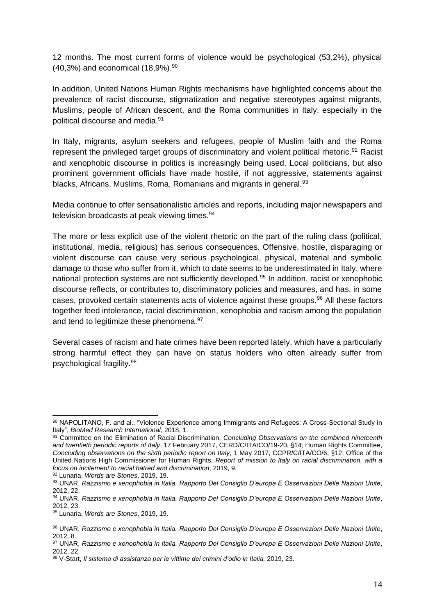12 months. The most current forms of violence would be psychological (53,2%), physical  $(40,3\%)$  and economical  $(18,9\%)$ .<sup>90</sup>

In addition, United Nations Human Rights mechanisms have highlighted concerns about the prevalence of racist discourse, stigmatization and negative stereotypes against migrants, Muslims, people of African descent, and the Roma communities in Italy, especially in the political discourse and media.<sup>91</sup>

In Italy, migrants, asylum seekers and refugees, people of Muslim faith and the Roma represent the privileged target groups of discriminatory and violent political rhetoric.<sup>92</sup> Racist and xenophobic discourse in politics is increasingly being used. Local politicians, but also prominent government officials have made hostile, if not aggressive, statements against blacks, Africans, Muslims, Roma, Romanians and migrants in general.<sup>93</sup>

Media continue to offer sensationalistic articles and reports, including major newspapers and television broadcasts at peak viewing times.<sup>94</sup>

The more or less explicit use of the violent rhetoric on the part of the ruling class (political, institutional, media, religious) has serious consequences. Offensive, hostile, disparaging or violent discourse can cause very serious psychological, physical, material and symbolic damage to those who suffer from it, which to date seems to be underestimated in Italy, where national protection systems are not sufficiently developed.<sup>95</sup> In addition, racist or xenophobic discourse reflects, or contributes to, discriminatory policies and measures, and has, in some cases, provoked certain statements acts of violence against these groups.<sup>96</sup> All these factors together feed intolerance, racial discrimination, xenophobia and racism among the population and tend to legitimize these phenomena.<sup>97</sup>

Several cases of racism and hate crimes have been reported lately, which have a particularly strong harmful effect they can have on status holders who often already suffer from psychological fragility.<sup>98</sup>

<sup>92</sup> Lunaria, *Words are Stones*, 2019, 19.

<sup>90</sup> NAPOLITANO, F. and al., "Violence Experience among Immigrants and Refugees: A Cross-Sectional Study in Italy", *BioMed Research International*, 2018, 1.

<sup>91</sup> Committee on the Elimination of Racial Discrimination, *Concluding Observations on the combined nineteenth and twentieth periodic reports of Italy*, 17 February 2017, CERD/C/ITA/CO/19-20, §14; Human Rights Committee, *Concluding observations on the sixth periodic report on Italy*, 1 May 2017, CCPR/C/ITA/CO/6, §12; Office of the United Nations High Commissioner for Human Rights, *Report of mission to Italy on racial discrimination, with a focus on incitement to racial hatred and discrimination*, 2019, 9.

<sup>93</sup> UNAR, *Razzismo e xenophobia in Italia. Rapporto Del Consiglio D'europa E Osservazioni Delle Nazioni Unite*, 2012, 22.

<sup>94</sup> UNAR, *Razzismo e xenophobia in Italia. Rapporto Del Consiglio D'europa E Osservazioni Delle Nazioni Unite*, 2012, 23.

<sup>95</sup> Lunaria, *Words are Stones*, 2019, 19.

<sup>96</sup> UNAR, *Razzismo e xenophobia in Italia. Rapporto Del Consiglio D'europa E Osservazioni Delle Nazioni Unite*, 2012, 8.

<sup>97</sup> UNAR, *Razzismo e xenophobia in Italia. Rapporto Del Consiglio D'europa E Osservazioni Delle Nazioni Unite*, 2012, 22.

<sup>98</sup> V-Start, *Il sistema di assistanza per le vittime dei crimini d'odio in Italia,* 2019, 23.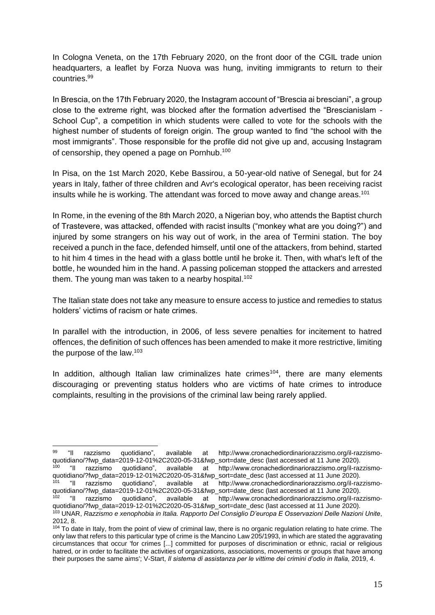In Cologna Veneta, on the 17th February 2020, on the front door of the CGIL trade union headquarters, a leaflet by Forza Nuova was hung, inviting immigrants to return to their countries.<sup>99</sup>

In Brescia, on the 17th February 2020, the Instagram account of "Brescia ai bresciani", a group close to the extreme right, was blocked after the formation advertised the "Brescianislam - School Cup", a competition in which students were called to vote for the schools with the highest number of students of foreign origin. The group wanted to find "the school with the most immigrants". Those responsible for the profile did not give up and, accusing Instagram of censorship, they opened a page on Pornhub.<sup>100</sup>

In Pisa, on the 1st March 2020, Kebe Bassirou, a 50-year-old native of Senegal, but for 24 years in Italy, father of three children and Avr's ecological operator, has been receiving racist insults while he is working. The attendant was forced to move away and change areas.<sup>101</sup>

In Rome, in the evening of the 8th March 2020, a Nigerian boy, who attends the Baptist church of Trastevere, was attacked, offended with racist insults ("monkey what are you doing?") and injured by some strangers on his way out of work, in the area of Termini station. The boy received a punch in the face, defended himself, until one of the attackers, from behind, started to hit him 4 times in the head with a glass bottle until he broke it. Then, with what's left of the bottle, he wounded him in the hand. A passing policeman stopped the attackers and arrested them. The young man was taken to a nearby hospital.<sup>102</sup>

The Italian state does not take any measure to ensure access to justice and remedies to status holders' victims of racism or hate crimes.

In parallel with the introduction, in 2006, of less severe penalties for incitement to hatred offences, the definition of such offences has been amended to make it more restrictive, limiting the purpose of the law. $103$ 

In addition, although Italian law criminalizes hate crimes<sup>104</sup>, there are many elements discouraging or preventing status holders who are victims of hate crimes to introduce complaints, resulting in the provisions of the criminal law being rarely applied.

<sup>99 &</sup>quot;Il razzismo quotidiano", available at http://www.cronachediordinariorazzismo.org/il-razzismoquotidiano/?fwp\_data=2019-12-01%2C2020-05-31&fwp\_sort=date\_desc (last accessed at 11 June 2020).<br><sup>100</sup> "Il razzismo quotidiano". available at http://www.cronachediordinariorazzismo.org/il-raz <sup>100</sup> "Il razzismo quotidiano", available at http://www.cronachediordinariorazzismo.org/il-razzismoquotidiano/?fwp\_data=2019-12-01%2C2020-05-31&fwp\_sort=date\_desc (last accessed at 11 June 2020). <sup>101</sup> "Il razzismo quotidiano", available at http://www.cronachediordinariorazzismo.org/il-razzismoquotidiano/?fwp\_data=2019-12-01%2C2020-05-31&fwp\_sort=date\_desc (last accessed at 11 June 2020). <sup>102</sup> "Il razzismo quotidiano", available at http://www.cronachediordinariorazzismo.org/il-razzismoquotidiano/?fwp\_data=2019-12-01%2C2020-05-31&fwp\_sort=date\_desc (last accessed at 11 June 2020).

<sup>103</sup> UNAR, *Razzismo e xenophobia in Italia. Rapporto Del Consiglio D'europa E Osservazioni Delle Nazioni Unite*, 2012, 8.

<sup>&</sup>lt;sup>104</sup> To date in Italy, from the point of view of criminal law, there is no organic regulation relating to hate crime. The only law that refers to this particular type of crime is the Mancino Law 205/1993, in which are stated the aggravating circumstances that occur 'for crimes [...] committed for purposes of discrimination or ethnic, racial or religious hatred, or in order to facilitate the activities of organizations, associations, movements or groups that have among their purposes the same aims'; V-Start, *Il sistema di assistanza per le vittime dei crimini d'odio in Italia,* 2019, 4.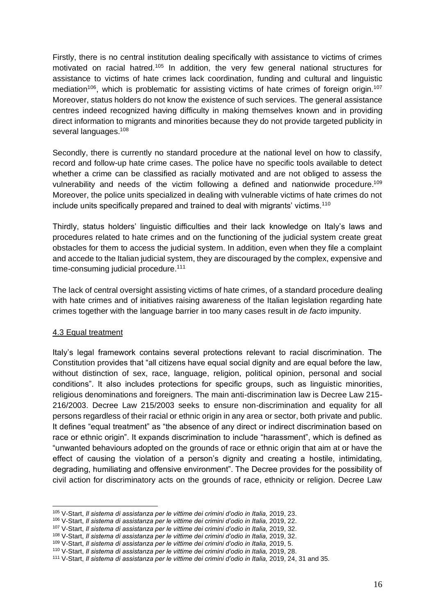Firstly, there is no central institution dealing specifically with assistance to victims of crimes motivated on racial hatred.<sup>105</sup> In addition, the very few general national structures for assistance to victims of hate crimes lack coordination, funding and cultural and linguistic mediation<sup>106</sup>, which is problematic for assisting victims of hate crimes of foreign origin.<sup>107</sup> Moreover, status holders do not know the existence of such services. The general assistance centres indeed recognized having difficulty in making themselves known and in providing direct information to migrants and minorities because they do not provide targeted publicity in several languages.<sup>108</sup>

Secondly, there is currently no standard procedure at the national level on how to classify, record and follow-up hate crime cases. The police have no specific tools available to detect whether a crime can be classified as racially motivated and are not obliged to assess the vulnerability and needs of the victim following a defined and nationwide procedure.<sup>109</sup> Moreover, the police units specialized in dealing with vulnerable victims of hate crimes do not include units specifically prepared and trained to deal with migrants' victims.<sup>110</sup>

Thirdly, status holders' linguistic difficulties and their lack knowledge on Italy's laws and procedures related to hate crimes and on the functioning of the judicial system create great obstacles for them to access the judicial system. In addition, even when they file a complaint and accede to the Italian judicial system, they are discouraged by the complex, expensive and time-consuming judicial procedure.<sup>111</sup>

The lack of central oversight assisting victims of hate crimes, of a standard procedure dealing with hate crimes and of initiatives raising awareness of the Italian legislation regarding hate crimes together with the language barrier in too many cases result in *de facto* impunity.

### <span id="page-16-0"></span>4.3 Equal treatment

Italy's legal framework contains several protections relevant to racial discrimination. The Constitution provides that "all citizens have equal social dignity and are equal before the law, without distinction of sex, race, language, religion, political opinion, personal and social conditions". It also includes protections for specific groups, such as linguistic minorities, religious denominations and foreigners. The main anti-discrimination law is Decree Law 215- 216/2003. Decree Law 215/2003 seeks to ensure non-discrimination and equality for all persons regardless of their racial or ethnic origin in any area or sector, both private and public. It defines "equal treatment" as "the absence of any direct or indirect discrimination based on race or ethnic origin". It expands discrimination to include "harassment", which is defined as "unwanted behaviours adopted on the grounds of race or ethnic origin that aim at or have the effect of causing the violation of a person's dignity and creating a hostile, intimidating, degrading, humiliating and offensive environment". The Decree provides for the possibility of civil action for discriminatory acts on the grounds of race, ethnicity or religion. Decree Law

<sup>105</sup> V-Start, *Il sistema di assistanza per le vittime dei crimini d'odio in Italia,* 2019, 23.

<sup>106</sup> V-Start, *Il sistema di assistanza per le vittime dei crimini d'odio in Italia,* 2019, 22.

<sup>107</sup> V-Start, *Il sistema di assistanza per le vittime dei crimini d'odio in Italia,* 2019, 32.

<sup>108</sup> V-Start, *Il sistema di assistanza per le vittime dei crimini d'odio in Italia,* 2019, 32.

<sup>109</sup> V-Start, *Il sistema di assistanza per le vittime dei crimini d'odio in Italia,* 2019, 5.

<sup>110</sup> V-Start, *Il sistema di assistanza per le vittime dei crimini d'odio in Italia,* 2019, 28.

<sup>111</sup> V-Start, *Il sistema di assistanza per le vittime dei crimini d'odio in Italia,* 2019, 24, 31 and 35.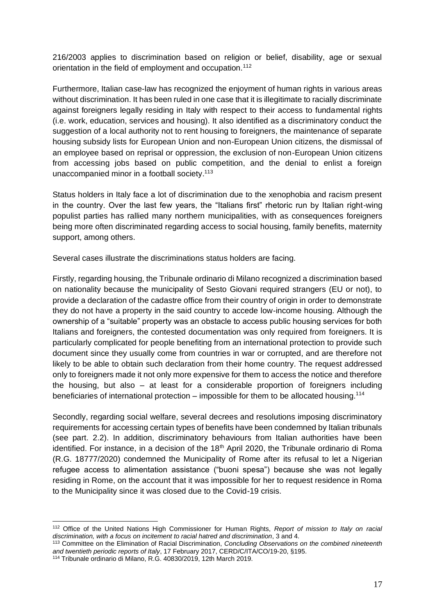216/2003 applies to discrimination based on religion or belief, disability, age or sexual orientation in the field of employment and occupation.<sup>112</sup>

Furthermore, Italian case-law has recognized the enjoyment of human rights in various areas without discrimination. It has been ruled in one case that it is illegitimate to racially discriminate against foreigners legally residing in Italy with respect to their access to fundamental rights (i.e. work, education, services and housing). It also identified as a discriminatory conduct the suggestion of a local authority not to rent housing to foreigners, the maintenance of separate housing subsidy lists for European Union and non-European Union citizens, the dismissal of an employee based on reprisal or oppression, the exclusion of non-European Union citizens from accessing jobs based on public competition, and the denial to enlist a foreign unaccompanied minor in a football society.<sup>113</sup>

Status holders in Italy face a lot of discrimination due to the xenophobia and racism present in the country. Over the last few years, the "Italians first" rhetoric run by Italian right-wing populist parties has rallied many northern municipalities, with as consequences foreigners being more often discriminated regarding access to social housing, family benefits, maternity support, among others.

Several cases illustrate the discriminations status holders are facing.

Firstly, regarding housing, the Tribunale ordinario di Milano recognized a discrimination based on nationality because the municipality of Sesto Giovani required strangers (EU or not), to provide a declaration of the cadastre office from their country of origin in order to demonstrate they do not have a property in the said country to accede low-income housing. Although the ownership of a "suitable" property was an obstacle to access public housing services for both Italians and foreigners, the contested documentation was only required from foreigners. It is particularly complicated for people benefiting from an international protection to provide such document since they usually come from countries in war or corrupted, and are therefore not likely to be able to obtain such declaration from their home country. The request addressed only to foreigners made it not only more expensive for them to access the notice and therefore the housing, but also – at least for a considerable proportion of foreigners including beneficiaries of international protection – impossible for them to be allocated housing.<sup>114</sup>

Secondly, regarding social welfare, several decrees and resolutions imposing discriminatory requirements for accessing certain types of benefits have been condemned by Italian tribunals (see part. 2.2). In addition, discriminatory behaviours from Italian authorities have been identified. For instance, in a decision of the 18<sup>th</sup> April 2020, the Tribunale ordinario di Roma (R.G. 18777/2020) condemned the Municipality of Rome after its refusal to let a Nigerian refugee access to alimentation assistance ("buoni spesa") because she was not legally residing in Rome, on the account that it was impossible for her to request residence in Roma to the Municipality since it was closed due to the Covid-19 crisis.

<sup>112</sup> Office of the United Nations High Commissioner for Human Rights, *Report of mission to Italy on racial discrimination, with a focus on incitement to racial hatred and discrimination*, 3 and 4.

<sup>113</sup> Committee on the Elimination of Racial Discrimination, *Concluding Observations on the combined nineteenth and twentieth periodic reports of Italy*, 17 February 2017, CERD/C/ITA/CO/19-20, §195.

<sup>114</sup> Tribunale ordinario di Milano, R.G. 40830/2019, 12th March 2019.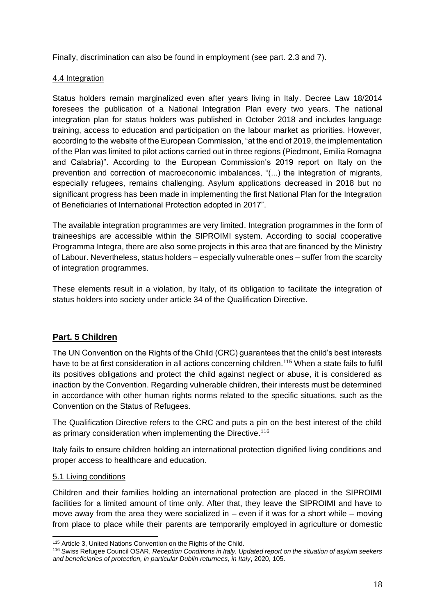Finally, discrimination can also be found in employment (see part. 2.3 and 7).

## <span id="page-18-0"></span>4.4 Integration

Status holders remain marginalized even after years living in Italy. Decree Law 18/2014 foresees the publication of a National Integration Plan every two years. The national integration plan for status holders was published in October 2018 and includes language training, access to education and participation on the labour market as priorities. However, according to the website of the European Commission, "at the end of 2019, the implementation of the Plan was limited to pilot actions carried out in three regions (Piedmont, Emilia Romagna and Calabria)". According to the European Commission's 2019 report on Italy on the prevention and correction of macroeconomic imbalances, "(...) the integration of migrants, especially refugees, remains challenging. Asylum applications decreased in 2018 but no significant progress has been made in implementing the first National Plan for the Integration of Beneficiaries of International Protection adopted in 2017".

The available integration programmes are very limited. Integration programmes in the form of traineeships are accessible within the SIPROIMI system. According to social cooperative Programma Integra, there are also some projects in this area that are financed by the Ministry of Labour. Nevertheless, status holders – especially vulnerable ones – suffer from the scarcity of integration programmes.

These elements result in a violation, by Italy, of its obligation to facilitate the integration of status holders into society under article 34 of the Qualification Directive.

## <span id="page-18-1"></span>**Part. 5 Children**

The UN Convention on the Rights of the Child (CRC) guarantees that the child's best interests have to be at first consideration in all actions concerning children.<sup>115</sup> When a state fails to fulfil its positives obligations and protect the child against neglect or abuse, it is considered as inaction by the Convention. Regarding vulnerable children, their interests must be determined in accordance with other human rights norms related to the specific situations, such as the Convention on the Status of Refugees.

The Qualification Directive refers to the CRC and puts a pin on the best interest of the child as primary consideration when implementing the Directive.<sup>116</sup>

Italy fails to ensure children holding an international protection dignified living conditions and proper access to healthcare and education.

## <span id="page-18-2"></span>5.1 Living conditions

Children and their families holding an international protection are placed in the SIPROIMI facilities for a limited amount of time only. After that, they leave the SIPROIMI and have to move away from the area they were socialized in – even if it was for a short while – moving from place to place while their parents are temporarily employed in agriculture or domestic

<sup>115</sup> Article 3, United Nations Convention on the Rights of the Child.

<sup>116</sup> Swiss Refugee Council OSAR, *Reception Conditions in Italy. Updated report on the situation of asylum seekers and beneficiaries of protection, in particular Dublin returnees, in Italy*, 2020, 105.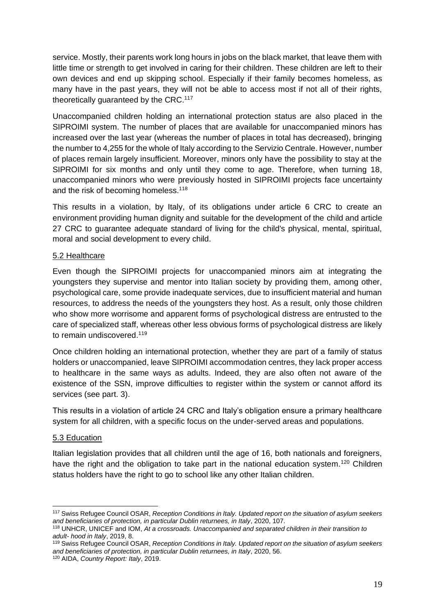service. Mostly, their parents work long hours in jobs on the black market, that leave them with little time or strength to get involved in caring for their children. These children are left to their own devices and end up skipping school. Especially if their family becomes homeless, as many have in the past years, they will not be able to access most if not all of their rights, theoretically guaranteed by the CRC.<sup>117</sup>

Unaccompanied children holding an international protection status are also placed in the SIPROIMI system. The number of places that are available for unaccompanied minors has increased over the last year (whereas the number of places in total has decreased), bringing the number to 4,255 for the whole of Italy according to the Servizio Centrale. However, number of places remain largely insufficient. Moreover, minors only have the possibility to stay at the SIPROIMI for six months and only until they come to age. Therefore, when turning 18, unaccompanied minors who were previously hosted in SIPROIMI projects face uncertainty and the risk of becoming homeless.<sup>118</sup>

This results in a violation, by Italy, of its obligations under article 6 CRC to create an environment providing human dignity and suitable for the development of the child and article 27 CRC to guarantee adequate standard of living for the child's physical, mental, spiritual, moral and social development to every child.

### <span id="page-19-0"></span>5.2 Healthcare

Even though the SIPROIMI projects for unaccompanied minors aim at integrating the youngsters they supervise and mentor into Italian society by providing them, among other, psychological care, some provide inadequate services, due to insufficient material and human resources, to address the needs of the youngsters they host. As a result, only those children who show more worrisome and apparent forms of psychological distress are entrusted to the care of specialized staff, whereas other less obvious forms of psychological distress are likely to remain undiscovered.<sup>119</sup>

Once children holding an international protection, whether they are part of a family of status holders or unaccompanied, leave SIPROIMI accommodation centres, they lack proper access to healthcare in the same ways as adults. Indeed, they are also often not aware of the existence of the SSN, improve difficulties to register within the system or cannot afford its services (see part. 3).

This results in a violation of article 24 CRC and Italy's obligation ensure a primary healthcare system for all children, with a specific focus on the under-served areas and populations.

### <span id="page-19-1"></span>5.3 Education

Italian legislation provides that all children until the age of 16, both nationals and foreigners, have the right and the obligation to take part in the national education system.<sup>120</sup> Children status holders have the right to go to school like any other Italian children.

<sup>117</sup> Swiss Refugee Council OSAR, *Reception Conditions in Italy. Updated report on the situation of asylum seekers and beneficiaries of protection, in particular Dublin returnees, in Italy*, 2020, 107.

<sup>118</sup> UNHCR, UNICEF and IOM, *At a crossroads. Unaccompanied and separated children in their transition to adult- hood in Italy*, 2019, 8.

<sup>119</sup> Swiss Refugee Council OSAR, *Reception Conditions in Italy. Updated report on the situation of asylum seekers and beneficiaries of protection, in particular Dublin returnees, in Italy*, 2020, 56.

<sup>120</sup> AIDA, *Country Report: Italy*, 2019.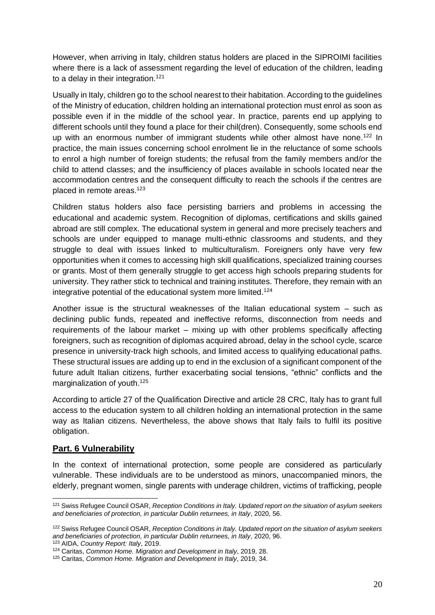However, when arriving in Italy, children status holders are placed in the SIPROIMI facilities where there is a lack of assessment regarding the level of education of the children, leading to a delay in their integration.<sup>121</sup>

Usually in Italy, children go to the school nearest to their habitation. According to the guidelines of the Ministry of education, children holding an international protection must enrol as soon as possible even if in the middle of the school year. In practice, parents end up applying to different schools until they found a place for their chil(dren). Consequently, some schools end up with an enormous number of immigrant students while other almost have none.<sup>122</sup> In practice, the main issues concerning school enrolment lie in the reluctance of some schools to enrol a high number of foreign students; the refusal from the family members and/or the child to attend classes; and the insufficiency of places available in schools located near the accommodation centres and the consequent difficulty to reach the schools if the centres are placed in remote areas.<sup>123</sup>

Children status holders also face persisting barriers and problems in accessing the educational and academic system. Recognition of diplomas, certifications and skills gained abroad are still complex. The educational system in general and more precisely teachers and schools are under equipped to manage multi-ethnic classrooms and students, and they struggle to deal with issues linked to multiculturalism. Foreigners only have very few opportunities when it comes to accessing high skill qualifications, specialized training courses or grants. Most of them generally struggle to get access high schools preparing students for university. They rather stick to technical and training institutes. Therefore, they remain with an integrative potential of the educational system more limited.<sup>124</sup>

Another issue is the structural weaknesses of the Italian educational system – such as declining public funds, repeated and ineffective reforms, disconnection from needs and requirements of the labour market – mixing up with other problems specifically affecting foreigners, such as recognition of diplomas acquired abroad, delay in the school cycle, scarce presence in university-track high schools, and limited access to qualifying educational paths. These structural issues are adding up to end in the exclusion of a significant component of the future adult Italian citizens, further exacerbating social tensions, "ethnic" conflicts and the marginalization of youth.<sup>125</sup>

According to article 27 of the Qualification Directive and article 28 CRC, Italy has to grant full access to the education system to all children holding an international protection in the same way as Italian citizens. Nevertheless, the above shows that Italy fails to fulfil its positive obligation.

## <span id="page-20-0"></span>**Part. 6 Vulnerability**

In the context of international protection, some people are considered as particularly vulnerable. These individuals are to be understood as minors, unaccompanied minors, the elderly, pregnant women, single parents with underage children, victims of trafficking, people

<sup>123</sup> AIDA, *Country Report: Italy*, 2019.

<sup>121</sup> Swiss Refugee Council OSAR, *Reception Conditions in Italy. Updated report on the situation of asylum seekers and beneficiaries of protection, in particular Dublin returnees, in Italy*, 2020, 56.

<sup>122</sup> Swiss Refugee Council OSAR, *Reception Conditions in Italy. Updated report on the situation of asylum seekers and beneficiaries of protection, in particular Dublin returnees, in Italy*, 2020, 96.

<sup>124</sup> Caritas, *Common Home. Migration and Development in Italy*, 2019, 28.

<sup>125</sup> Caritas, *Common Home. Migration and Development in Italy*, 2019, 34.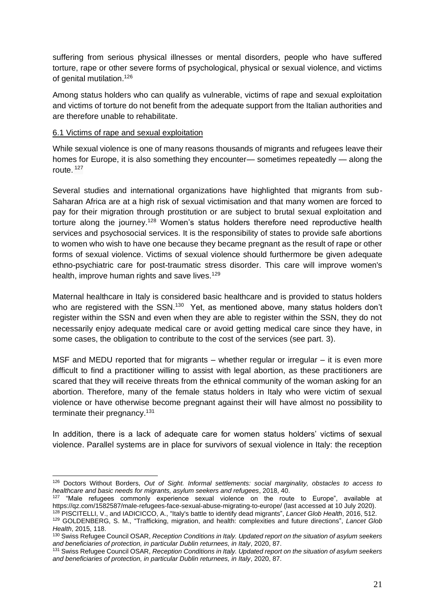suffering from serious physical illnesses or mental disorders, people who have suffered torture, rape or other severe forms of psychological, physical or sexual violence, and victims of genital mutilation.<sup>126</sup>

Among status holders who can qualify as vulnerable, victims of rape and sexual exploitation and victims of torture do not benefit from the adequate support from the Italian authorities and are therefore unable to rehabilitate.

#### <span id="page-21-0"></span>6.1 Victims of rape and sexual exploitation

While sexual violence is [one of many reasons](https://www.washingtonpost.com/news/worldviews/wp/2017/07/06/to-escape-sexual-violence-at-home-female-migrants-must-risk-sexual-violence-on-the-way-to-europe/?utm_term=.76fec8654d7b) thousands of migrants and refugees [leave their](https://qz.com/1570617/refugees-in-africa-struggle-to-reach-europe-as-the-eu-says-migrant-crisis-is-over/)  [homes](https://qz.com/1570617/refugees-in-africa-struggle-to-reach-europe-as-the-eu-says-migrant-crisis-is-over/) for Europe, it is also something they encounter— sometimes repeatedly — along the route. <sup>127</sup>

Several studies and international organizations have highlighted that migrants from sub-Saharan Africa are at a high risk of sexual victimisation and that many women are forced to pay for their migration through prostitution or are subject to brutal sexual exploitation and torture along the journey.<sup>128</sup> Women's status holders therefore need reproductive health services and psychosocial services. It is the responsibility of states to provide safe abortions to women who wish to have one because they became pregnant as the result of rape or other forms of sexual violence. Victims of sexual violence should furthermore be given adequate ethno-psychiatric care for post-traumatic stress disorder. This care will improve women's health, improve human rights and save lives.<sup>129</sup>

Maternal healthcare in Italy is considered basic healthcare and is provided to status holders who are registered with the SSN.<sup>130</sup> Yet, as mentioned above, many status holders don't register within the SSN and even when they are able to register within the SSN, they do not necessarily enjoy adequate medical care or avoid getting medical care since they have, in some cases, the obligation to contribute to the cost of the services (see part. 3).

MSF and MEDU reported that for migrants – whether regular or irregular – it is even more difficult to find a practitioner willing to assist with legal abortion, as these practitioners are scared that they will receive threats from the ethnical community of the woman asking for an abortion. Therefore, many of the female status holders in Italy who were victim of sexual violence or have otherwise become pregnant against their will have almost no possibility to terminate their pregnancy.<sup>131</sup>

In addition, there is a lack of adequate care for women status holders' victims of sexual violence. Parallel systems are in place for survivors of sexual violence in Italy: the reception

<sup>126</sup> Doctors Without Borders, *Out of Sight. Informal settlements: social marginality, obstacles to access to healthcare and basic needs for migrants, asylum seekers and refugees*, 2018, 40.

<sup>&</sup>lt;sup>127</sup> "Male refugees commonly experience sexual violence on the route to Europe", available at <https://qz.com/1582587/male-refugees-face-sexual-abuse-migrating-to-europe/> (last accessed at 10 July 2020).

<sup>128</sup> PISCITELLI, V., and IADICICCO, A., "Italy's battle to identify dead migrants", *Lancet Glob Health*, 2016, 512.

<sup>129</sup> GOLDENBERG, S. M., "Trafficking, migration, and health: complexities and future directions", *Lancet Glob Health*, 2015, 118.

<sup>130</sup> Swiss Refugee Council OSAR, *Reception Conditions in Italy. Updated report on the situation of asylum seekers and beneficiaries of protection, in particular Dublin returnees, in Italy*, 2020, 87.

<sup>131</sup> Swiss Refugee Council OSAR, *Reception Conditions in Italy. Updated report on the situation of asylum seekers and beneficiaries of protection, in particular Dublin returnees, in Italy*, 2020, 87.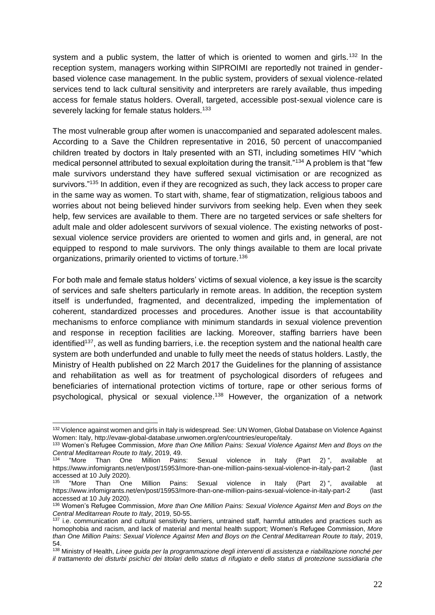system and a public system, the latter of which is oriented to women and girls.<sup>132</sup> In the reception system, managers working within SIPROIMI are reportedly not trained in genderbased violence case management. In the public system, providers of sexual violence-related services tend to lack cultural sensitivity and interpreters are rarely available, thus impeding access for female status holders. Overall, targeted, accessible post-sexual violence care is severely lacking for female status holders.<sup>133</sup>

The most vulnerable group after women is unaccompanied and separated adolescent males. According to a Save the Children representative in 2016, 50 percent of unaccompanied children treated by doctors in Italy presented with an STI, including sometimes HIV "which medical personnel attributed to sexual exploitation during the transit."<sup>134</sup> A problem is that "few male survivors understand they have suffered sexual victimisation or are recognized as survivors."<sup>135</sup> In addition, even if they are recognized as such, they lack access to proper care in the same way as women. To start with, shame, fear of stigmatization, religious taboos and worries about not being believed hinder survivors from seeking help. Even when they seek help, few services are available to them. There are no targeted services or safe shelters for adult male and older adolescent survivors of sexual violence. The existing networks of postsexual violence service providers are oriented to women and girls and, in general, are not equipped to respond to male survivors. The only things available to them are local private organizations, primarily oriented to victims of torture.<sup>136</sup>

For both male and female status holders' victims of sexual violence, a key issue is the scarcity of services and safe shelters particularly in remote areas. In addition, the reception system itself is underfunded, fragmented, and decentralized, impeding the implementation of coherent, standardized processes and procedures. Another issue is that accountability mechanisms to enforce compliance with minimum standards in sexual violence prevention and response in reception facilities are lacking. Moreover, staffing barriers have been identified<sup>137</sup>, as well as funding barriers, i.e. the reception system and the national health care system are both underfunded and unable to fully meet the needs of status holders. Lastly, the Ministry of Health published on 22 March 2017 the Guidelines for the planning of assistance and rehabilitation as well as for treatment of psychological disorders of refugees and beneficiaries of international protection victims of torture, rape or other serious forms of psychological, physical or sexual violence.<sup>138</sup> However, the organization of a network

<sup>132</sup> Violence against women and girls in Italy is widespread. See: UN Women, Global Database on Violence Against Women: Italy, http://evaw-global-database.unwomen.org/en/countries/europe/italy.

<sup>133</sup> Women's Refugee Commission, *More than One Million Pains: Sexual Violence Against Men and Boys on the Central Meditarrean Route to Italy*, 2019, 49.

<sup>134</sup> "More Than One Million Pains: Sexual violence in Italy (Part 2) ", available at <https://www.infomigrants.net/en/post/15953/more-than-one-million-pains-sexual-violence-in-italy-part-2> (last accessed at 10 July 2020).

<sup>&</sup>lt;sup>135</sup> "More Than One Million Pains: Sexual violence in Italy (Part 2) ", available at <https://www.infomigrants.net/en/post/15953/more-than-one-million-pains-sexual-violence-in-italy-part-2> (last accessed at 10 July 2020).

<sup>136</sup> Women's Refugee Commission, *More than One Million Pains: Sexual Violence Against Men and Boys on the Central Meditarrean Route to Italy*, 2019, 50-55.

<sup>&</sup>lt;sup>137</sup> i.e. communication and cultural sensitivity barriers, untrained staff, harmful attitudes and practices such as homophobia and racism, and lack of material and mental health support; Women's Refugee Commission, *More than One Million Pains: Sexual Violence Against Men and Boys on the Central Meditarrean Route to Italy*, 2019, 54.

<sup>138</sup> Ministry of Health, *Linee guida per la programmazione degli interventi di assistenza e riabilitazione nonché per il trattamento dei disturbi psichici dei titolari dello status di rifugiato e dello status di protezione sussidiaria che*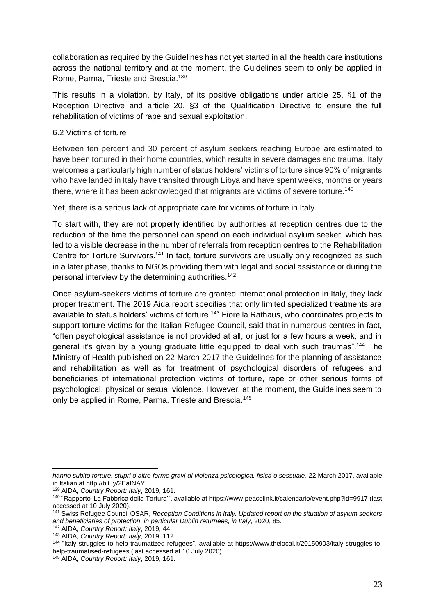collaboration as required by the Guidelines has not yet started in all the health care institutions across the national territory and at the moment, the Guidelines seem to only be applied in Rome, Parma, Trieste and Brescia.<sup>139</sup>

This results in a violation, by Italy, of its positive obligations under article 25, §1 of the Reception Directive and article 20, §3 of the Qualification Directive to ensure the full rehabilitation of victims of rape and sexual exploitation.

### <span id="page-23-0"></span>6.2 Victims of torture

Between ten percent and 30 percent of asylum seekers reaching Europe are estimated to have been tortured in their home countries, which results in severe damages and trauma. Italy welcomes a particularly high number of status holders' victims of torture since 90% of migrants who have landed in Italy have transited through Libya and have spent weeks, months or years there, where it has been acknowledged that migrants are victims of severe torture.<sup>140</sup>

Yet, there is a serious lack of appropriate care for victims of torture in Italy.

To start with, they are not properly identified by authorities at reception centres due to the reduction of the time the personnel can spend on each individual asylum seeker, which has led to a visible decrease in the number of referrals from reception centres to the Rehabilitation Centre for Torture Survivors.<sup>141</sup> In fact, torture survivors are usually only recognized as such in a later phase, thanks to NGOs providing them with legal and social assistance or during the personal interview by the determining authorities.<sup>142</sup>

Once asylum-seekers victims of torture are granted international protection in Italy, they lack proper treatment. The 2019 Aida report specifies that only limited specialized treatments are available to status holders' victims of torture.<sup>143</sup> Fiorella Rathaus, who coordinates projects to support torture victims for the Italian Refugee Council, said that in numerous centres in fact, "often psychological assistance is not provided at all, or just for a few hours a week, and in general it's given by a young graduate little equipped to deal with such traumas".<sup>144</sup> The Ministry of Health published on 22 March 2017 the Guidelines for the planning of assistance and rehabilitation as well as for treatment of psychological disorders of refugees and beneficiaries of international protection victims of torture, rape or other serious forms of psychological, physical or sexual violence. However, at the moment, the Guidelines seem to only be applied in Rome, Parma, Trieste and Brescia.<sup>145</sup>

*hanno subito torture, stupri o altre forme gravi di violenza psicologica, fisica o sessuale*, 22 March 2017, available in Italian at [http://bit.ly/2EaINAY.](http://bit.ly/2EaINAY)

<sup>139</sup> AIDA, *Country Report: Italy*, 2019, 161.

<sup>140</sup> "Rapporto 'La Fabbrica della Tortura'", available at<https://www.peacelink.it/calendario/event.php?id=9917> (last accessed at 10 July 2020).

<sup>141</sup> Swiss Refugee Council OSAR, *Reception Conditions in Italy. Updated report on the situation of asylum seekers and beneficiaries of protection, in particular Dublin returnees, in Italy*, 2020, 85.

<sup>142</sup> AIDA, *Country Report: Italy*, 2019, 44.

<sup>143</sup> AIDA, *Country Report: Italy*, 2019, 112.

<sup>144</sup> "Italy struggles to help traumatized refugees", available at [https://www.thelocal.it/20150903/italy-struggles-to](https://www.thelocal.it/20150903/italy-struggles-to-help-traumatised-refugees)[help-traumatised-refugees](https://www.thelocal.it/20150903/italy-struggles-to-help-traumatised-refugees) (last accessed at 10 July 2020).

<sup>145</sup> AIDA, *Country Report: Italy*, 2019, 161.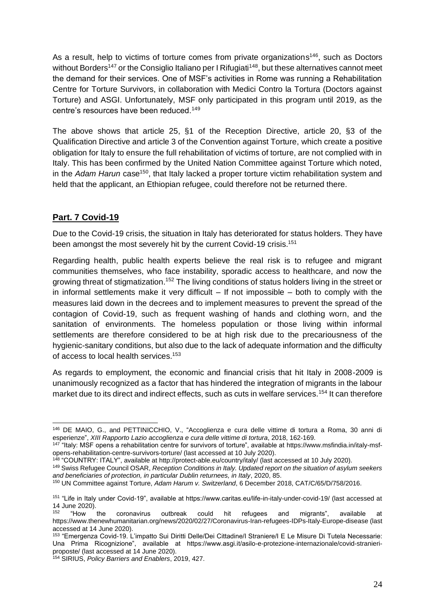As a result, help to victims of torture comes from private organizations<sup>146</sup>, such as Doctors without Borders<sup>147</sup> or the Consiglio Italiano per I Rifugiati<sup>148</sup>, but these alternatives cannot meet the demand for their services. One of MSF's activities in Rome was running a Rehabilitation Centre for Torture Survivors, in collaboration with Medici Contro la Tortura (Doctors against Torture) and ASGI. Unfortunately, MSF only participated in this program until 2019, as the centre's resources have been reduced.<sup>149</sup>

The above shows that article 25, §1 of the Reception Directive, article 20, §3 of the Qualification Directive and article 3 of the Convention against Torture, which create a positive obligation for Italy to ensure the full rehabilitation of victims of torture, are not complied with in Italy. This has been confirmed by the United Nation Committee against Torture which noted, in the *Adam Harun* case<sup>150</sup>, that Italy lacked a proper torture victim rehabilitation system and held that the applicant, an Ethiopian refugee, could therefore not be returned there.

# <span id="page-24-0"></span>**Part. 7 Covid-19**

Due to the Covid-19 crisis, the situation in Italy has deteriorated for status holders. They have been amongst the most severely hit by the current Covid-19 crisis.<sup>151</sup>

Regarding health, public health experts believe the real risk is to refugee and migrant communities themselves, who face instability, sporadic access to healthcare, and now the growing threat of stigmatization.<sup>152</sup> The living conditions of status holders living in the street or in informal settlements make it very difficult  $-$  If not impossible  $-$  both to comply with the measures laid down in the decrees and to implement measures to prevent the spread of the contagion of Covid-19, such as frequent washing of hands and clothing worn, and the sanitation of environments. The homeless population or those living within informal settlements are therefore considered to be at high risk due to the precariousness of the hygienic-sanitary conditions, but also due to the lack of adequate information and the difficulty of access to local health services.<sup>153</sup>

As regards to employment, the economic and financial crisis that hit Italy in 2008-2009 is unanimously recognized as a factor that has hindered the integration of migrants in the labour market due to its direct and indirect effects, such as cuts in welfare services.<sup>154</sup> It can therefore

<sup>146</sup> DE MAIO, G., and PETTINICCHIO, V., "Accoglienza e cura delle vittime di tortura a Roma, 30 anni di esperienze", *XIII Rapporto Lazio accoglienza e cura delle vittime di tortura*, 2018, 162-169.

<sup>&</sup>lt;sup>147</sup> "Italy: MSF opens a rehabilitation centre for survivors of torture", available at [https://www.msfindia.in/italy-msf](https://www.msfindia.in/italy-msf-opens-rehabilitation-centre-survivors-torture/)[opens-rehabilitation-centre-survivors-torture/](https://www.msfindia.in/italy-msf-opens-rehabilitation-centre-survivors-torture/) (last accessed at 10 July 2020).

<sup>148</sup> "COUNTRY: ITALY", available at<http://protect-able.eu/country/italy/> (last accessed at 10 July 2020).

<sup>149</sup> Swiss Refugee Council OSAR, *Reception Conditions in Italy. Updated report on the situation of asylum seekers and beneficiaries of protection, in particular Dublin returnees, in Italy*, 2020, 85.

<sup>150</sup> UN Committee against Torture, *Adam Harum v. Switzerland*, 6 December 2018, CAT/C/65/D/758/2016.

<sup>151</sup> "Life in Italy under Covid-19", available at https://www.caritas.eu/life-in-italy-under-covid-19/ (last accessed at 14 June 2020).<br><sup>152</sup> "How

<sup>152</sup> "How the coronavirus outbreak could hit refugees and migrants", available at <https://www.thenewhumanitarian.org/news/2020/02/27/Coronavirus-Iran-refugees-IDPs-Italy-Europe-disease> (last accessed at 14 June 2020).

<sup>153</sup> "Emergenza Covid-19. L'impatto Sui Diritti Delle/Dei Cittadine/I Straniere/I E Le Misure Di Tutela Necessarie: Una Prima Ricognizione", available at https://www.asgi.it/asilo-e-protezione-internazionale/covid-stranieriproposte/ (last accessed at 14 June 2020).

<sup>154</sup> SIRIUS, *Policy Barriers and Enablers*, 2019, 427.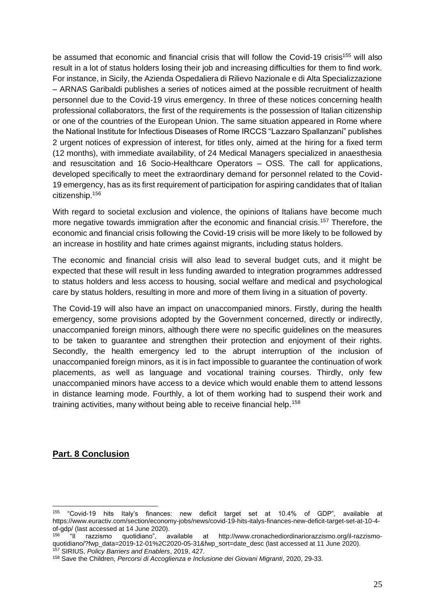be assumed that economic and financial crisis that will follow the Covid-19 crisis<sup>155</sup> will also result in a lot of status holders losing their job and increasing difficulties for them to find work. For instance, in Sicily, the Azienda Ospedaliera di Rilievo Nazionale e di Alta Specializzazione – ARNAS Garibaldi publishes a series of notices aimed at the possible recruitment of health personnel due to the Covid-19 virus emergency. In three of these notices concerning health professional collaborators, the first of the requirements is the possession of Italian citizenship or one of the countries of the European Union. The same situation appeared in Rome where the National Institute for Infectious Diseases of Rome IRCCS "Lazzaro Spallanzani" publishes 2 urgent notices of expression of interest, for titles only, aimed at the hiring for a fixed term (12 months), with immediate availability, of 24 Medical Managers specialized in anaesthesia and resuscitation and 16 Socio-Healthcare Operators – OSS. The call for applications, developed specifically to meet the extraordinary demand for personnel related to the Covid-19 emergency, has as its first requirement of participation for aspiring candidates that of Italian citizenship.<sup>156</sup>

With regard to societal exclusion and violence, the opinions of Italians have become much more negative towards immigration after the economic and financial crisis.<sup>157</sup> Therefore, the economic and financial crisis following the Covid-19 crisis will be more likely to be followed by an increase in hostility and hate crimes against migrants, including status holders.

The economic and financial crisis will also lead to several budget cuts, and it might be expected that these will result in less funding awarded to integration programmes addressed to status holders and less access to housing, social welfare and medical and psychological care by status holders, resulting in more and more of them living in a situation of poverty.

The Covid-19 will also have an impact on unaccompanied minors. Firstly, during the health emergency, some provisions adopted by the Government concerned, directly or indirectly, unaccompanied foreign minors, although there were no specific guidelines on the measures to be taken to guarantee and strengthen their protection and enjoyment of their rights. Secondly, the health emergency led to the abrupt interruption of the inclusion of unaccompanied foreign minors, as it is in fact impossible to guarantee the continuation of work placements, as well as language and vocational training courses. Thirdly, only few unaccompanied minors have access to a device which would enable them to attend lessons in distance learning mode. Fourthly, a lot of them working had to suspend their work and training activities, many without being able to receive financial help.<sup>158</sup>

## <span id="page-25-0"></span>**Part. 8 Conclusion**

<sup>155</sup> "Covid-19 hits Italy's finances: new deficit target set at 10.4% of GDP", available at [https://www.euractiv.com/section/economy-jobs/news/covid-19-hits-italys-finances-new-deficit-target-set-at-10-4-](https://www.euractiv.com/section/economy-jobs/news/covid-19-hits-italys-finances-new-deficit-target-set-at-10-4-of-gdp/)

[of-gdp/](https://www.euractiv.com/section/economy-jobs/news/covid-19-hits-italys-finances-new-deficit-target-set-at-10-4-of-gdp/) (last accessed at 14 June 2020).<br><sup>156</sup> "Il razzismo quotidiano", available <sup>156</sup> "Il razzismo quotidiano", available at [http://www.cronachediordinariorazzismo.org/il-razzismo](http://www.cronachediordinariorazzismo.org/il-razzismo-quotidiano/?fwp_data=2019-12-01%2C2020-05-31&fwp_sort=date_desc)[quotidiano/?fwp\\_data=2019-12-01%2C2020-05-31&fwp\\_sort=date\\_desc](http://www.cronachediordinariorazzismo.org/il-razzismo-quotidiano/?fwp_data=2019-12-01%2C2020-05-31&fwp_sort=date_desc) (last accessed at 11 June 2020). <sup>157</sup> SIRIUS, *Policy Barriers and Enablers*, 2019, 427.

<sup>158</sup> Save the Children, *Percorsi di Accoglienza e Inclusione dei Giovani Migranti*, 2020, 29-33.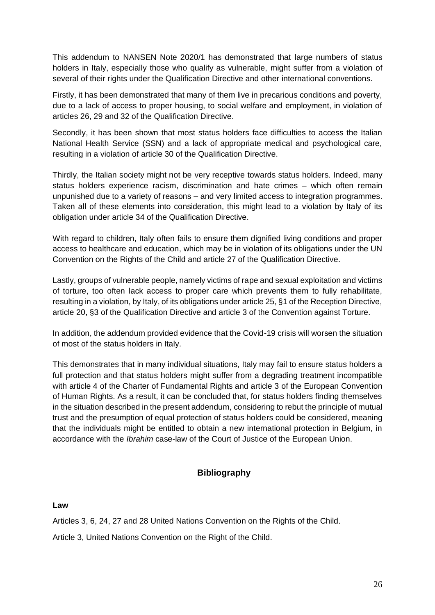This addendum to NANSEN Note 2020/1 has demonstrated that large numbers of status holders in Italy, especially those who qualify as vulnerable, might suffer from a violation of several of their rights under the Qualification Directive and other international conventions.

Firstly, it has been demonstrated that many of them live in precarious conditions and poverty, due to a lack of access to proper housing, to social welfare and employment, in violation of articles 26, 29 and 32 of the Qualification Directive.

Secondly, it has been shown that most status holders face difficulties to access the Italian National Health Service (SSN) and a lack of appropriate medical and psychological care, resulting in a violation of article 30 of the Qualification Directive.

Thirdly, the Italian society might not be very receptive towards status holders. Indeed, many status holders experience racism, discrimination and hate crimes – which often remain unpunished due to a variety of reasons – and very limited access to integration programmes. Taken all of these elements into consideration, this might lead to a violation by Italy of its obligation under article 34 of the Qualification Directive.

With regard to children, Italy often fails to ensure them dignified living conditions and proper access to healthcare and education, which may be in violation of its obligations under the UN Convention on the Rights of the Child and article 27 of the Qualification Directive.

Lastly, groups of vulnerable people, namely victims of rape and sexual exploitation and victims of torture, too often lack access to proper care which prevents them to fully rehabilitate, resulting in a violation, by Italy, of its obligations under article 25, §1 of the Reception Directive, article 20, §3 of the Qualification Directive and article 3 of the Convention against Torture.

In addition, the addendum provided evidence that the Covid-19 crisis will worsen the situation of most of the status holders in Italy.

This demonstrates that in many individual situations, Italy may fail to ensure status holders a full protection and that status holders might suffer from a degrading treatment incompatible with article 4 of the Charter of Fundamental Rights and article 3 of the European Convention of Human Rights. As a result, it can be concluded that, for status holders finding themselves in the situation described in the present addendum, considering to rebut the principle of mutual trust and the presumption of equal protection of status holders could be considered, meaning that the individuals might be entitled to obtain a new international protection in Belgium, in accordance with the *Ibrahim* case-law of the Court of Justice of the European Union.

## **Bibliography**

### <span id="page-26-1"></span><span id="page-26-0"></span>**Law**

Articles 3, 6, 24, 27 and 28 United Nations Convention on the Rights of the Child.

Article 3, United Nations Convention on the Right of the Child.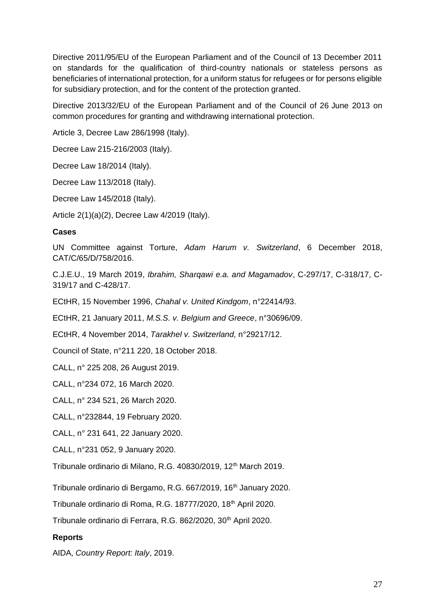Directive 2011/95/EU of the European Parliament and of the Council of 13 December 2011 on standards for the qualification of third-country nationals or stateless persons as beneficiaries of international protection, for a uniform status for refugees or for persons eligible for subsidiary protection, and for the content of the protection granted.

Directive 2013/32/EU of the European Parliament and of the Council of 26 June 2013 on common procedures for granting and withdrawing international protection.

Article 3, Decree Law 286/1998 (Italy).

Decree Law 215-216/2003 (Italy).

Decree Law 18/2014 (Italy).

Decree Law 113/2018 (Italy).

Decree Law 145/2018 (Italy).

Article 2(1)(a)(2), Decree Law 4/2019 (Italy).

#### <span id="page-27-0"></span>**Cases**

UN Committee against Torture, *Adam Harum v. Switzerland*, 6 December 2018, CAT/C/65/D/758/2016.

C.J.E.U., 19 March 2019, *Ibrahim, Sharqawi e.a. and Magamadov*, C-297/17, C-318/17, C-319/17 and C-428/17.

ECtHR, 15 November 1996, *Chahal v. United Kindgom*, n°22414/93.

ECtHR, 21 January 2011, *M.S.S. v. Belgium and Greece*, n°30696/09.

ECtHR, 4 November 2014, *Tarakhel v. Switzerland,* n°29217/12.

Council of State, n°211 220, 18 October 2018.

CALL, [n° 225 208, 26 August 2019.](https://www.rvv-cce.be/sites/default/files/arr/a225208.an_.pdf)

CALL, n°234 072, 16 March 2020.

CALL, n° 234 521, 26 March 2020.

CALL, n°232844, 19 February 2020.

CALL, n° 231 641, 22 January 2020.

CALL, n°231 052, 9 January 2020.

Tribunale ordinario di Milano, R.G. 40830/2019, 12<sup>th</sup> March 2019.

Tribunale ordinario di Bergamo, R.G. 667/2019, 16<sup>th</sup> January 2020.

Tribunale ordinario di Roma, R.G. 18777/2020, 18<sup>th</sup> April 2020.

Tribunale ordinario di Ferrara, R.G. 862/2020, 30<sup>th</sup> April 2020.

#### <span id="page-27-1"></span>**Reports**

AIDA, *Country Report: Italy*, 2019.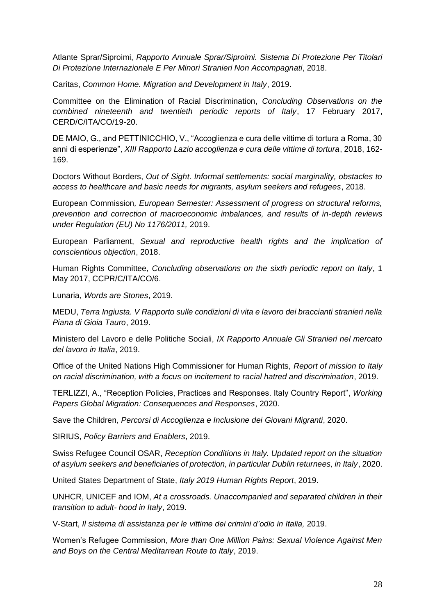Atlante Sprar/Siproimi, *Rapporto Annuale Sprar/Siproimi. Sistema Di Protezione Per Titolari Di Protezione Internazionale E Per Minori Stranieri Non Accompagnati*, 2018.

Caritas, *Common Home. Migration and Development in Italy*, 2019.

Committee on the Elimination of Racial Discrimination, *Concluding Observations on the combined nineteenth and twentieth periodic reports of Italy*, 17 February 2017, CERD/C/ITA/CO/19-20.

DE MAIO, G., and PETTINICCHIO, V., "Accoglienza e cura delle vittime di tortura a Roma, 30 anni di esperienze", *XIII Rapporto Lazio accoglienza e cura delle vittime di tortura*, 2018, 162- 169.

Doctors Without Borders, *Out of Sight. Informal settlements: social marginality, obstacles to access to healthcare and basic needs for migrants, asylum seekers and refugees*, 2018.

European Commission*, European Semester: Assessment of progress on structural reforms, prevention and correction of macroeconomic imbalances, and results of in-depth reviews under Regulation (EU) No 1176/2011,* 2019.

European Parliament, *Sexual and reproductive health rights and the implication of conscientious objection*, 2018.

Human Rights Committee, *Concluding observations on the sixth periodic report on Italy*, 1 May 2017, CCPR/C/ITA/CO/6.

Lunaria, *Words are Stones*, 2019.

MEDU, *Terra Ingiusta. V Rapporto sulle condizioni di vita e lavoro dei braccianti stranieri nella Piana di Gioia Tauro*, 2019.

Ministero del Lavoro e delle Politiche Sociali, *IX Rapporto Annuale Gli Stranieri nel mercato del lavoro in Italia*, 2019.

Office of the United Nations High Commissioner for Human Rights, *Report of mission to Italy on racial discrimination, with a focus on incitement to racial hatred and discrimination*, 2019.

TERLIZZI, A., "Reception Policies, Practices and Responses. Italy Country Report", *Working Papers Global Migration: Consequences and Responses*, 2020.

Save the Children, *Percorsi di Accoglienza e Inclusione dei Giovani Migranti*, 2020.

SIRIUS, *Policy Barriers and Enablers*, 2019.

Swiss Refugee Council OSAR, *Reception Conditions in Italy. Updated report on the situation of asylum seekers and beneficiaries of protection, in particular Dublin returnees, in Italy*, 2020.

United States Department of State, *Italy 2019 Human Rights Report*, 2019.

UNHCR, UNICEF and IOM, *At a crossroads. Unaccompanied and separated children in their transition to adult- hood in Italy*, 2019.

V-Start, *Il sistema di assistanza per le vittime dei crimini d'odio in Italia,* 2019.

Women's Refugee Commission, *More than One Million Pains: Sexual Violence Against Men and Boys on the Central Meditarrean Route to Italy*, 2019.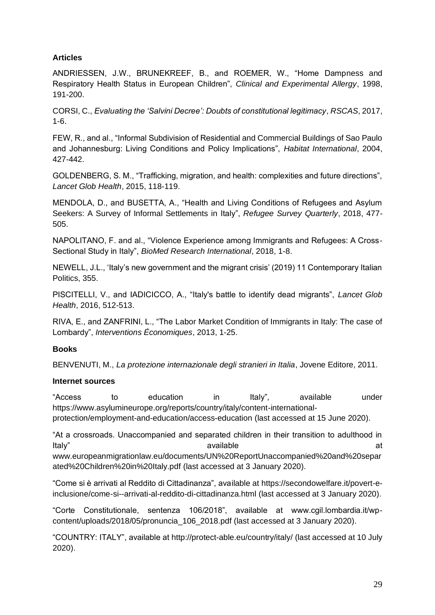## <span id="page-29-0"></span>**Articles**

ANDRIESSEN, J.W., BRUNEKREEF, B., and ROEMER, W., "Home Dampness and Respiratory Health Status in European Children", *Clinical and Experimental Allergy*, 1998, 191-200.

CORSI, C., *Evaluating the 'Salvini Decree': Doubts of constitutional legitimacy*, *RSCAS*, 2017, 1-6.

FEW, R., and al., "Informal Subdivision of Residential and Commercial Buildings of Sao Paulo and Johannesburg: Living Conditions and Policy Implications", *Habitat International*, 2004, 427-442.

GOLDENBERG, S. M., "Trafficking, migration, and health: complexities and future directions", *Lancet Glob Health*, 2015, 118-119.

MENDOLA, D., and BUSETTA, A., "Health and Living Conditions of Refugees and Asylum Seekers: A Survey of Informal Settlements in Italy", *Refugee Survey Quarterly*, 2018, 477- 505.

NAPOLITANO, F. and al., "Violence Experience among Immigrants and Refugees: A Cross-Sectional Study in Italy", *BioMed Research International*, 2018, 1-8.

NEWELL, J.L., 'Italy's new government and the migrant crisis' (2019) 11 Contemporary Italian Politics, 355.

PISCITELLI, V., and IADICICCO, A., "Italy's battle to identify dead migrants", *Lancet Glob Health*, 2016, 512-513.

RIVA, E., and ZANFRINI, L., "The Labor Market Condition of Immigrants in Italy: The case of Lombardy", *Interventions Économiques*, 2013, 1-25.

## <span id="page-29-1"></span>**Books**

BENVENUTI, M., *La protezione internazionale degli stranieri in Italia*, Jovene Editore, 2011.

### <span id="page-29-2"></span>**Internet sources**

"Access to education in Italy"*,* available under [https://www.asylumineurope.org/reports/country/italy/content-international](https://www.asylumineurope.org/reports/country/italy/content-international-protection/employment-and-education/access-education)[protection/employment-and-education/access-education](https://www.asylumineurope.org/reports/country/italy/content-international-protection/employment-and-education/access-education) (last accessed at 15 June 2020).

"At a crossroads. Unaccompanied and separated children in their transition to adulthood in Italy" available at [www.europeanmigrationlaw.eu/documents/UN%20ReportUnaccompanied%20and%20separ](http://www.europeanmigrationlaw.eu/documents/UN%20ReportUnaccompanied%20and%20separated%20Children%20in%20Italy.pdf)

[ated%20Children%20in%20Italy.pdf](http://www.europeanmigrationlaw.eu/documents/UN%20ReportUnaccompanied%20and%20separated%20Children%20in%20Italy.pdf) (last accessed at 3 January 2020).

"Come si è arrivati al Reddito di Cittadinanza", available at [https://secondowelfare.it/povert-e](https://secondowelfare.it/povert-e-inclusione/come-si--arrivati-al-reddito-di-cittadinanza.html)[inclusione/come-si--arrivati-al-reddito-di-cittadinanza.html](https://secondowelfare.it/povert-e-inclusione/come-si--arrivati-al-reddito-di-cittadinanza.html) (last accessed at 3 January 2020).

"Corte Constitutionale, sentenza 106/2018", available at www.cgil.lombardia.it/wpcontent/uploads/2018/05/pronuncia\_106\_2018.pdf (last accessed at 3 January 2020).

"COUNTRY: ITALY", available at<http://protect-able.eu/country/italy/> (last accessed at 10 July 2020).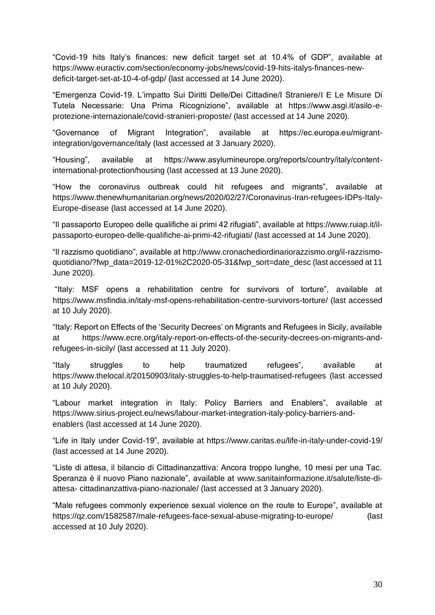"Covid-19 hits Italy's finances: new deficit target set at 10.4% of GDP", available at [https://www.euractiv.com/section/economy-jobs/news/covid-19-hits-italys-finances-new](https://www.euractiv.com/section/economy-jobs/news/covid-19-hits-italys-finances-new-deficit-target-set-at-10-4-of-gdp/)[deficit-target-set-at-10-4-of-gdp/](https://www.euractiv.com/section/economy-jobs/news/covid-19-hits-italys-finances-new-deficit-target-set-at-10-4-of-gdp/) (last accessed at 14 June 2020).

"Emergenza Covid-19. L'impatto Sui Diritti Delle/Dei Cittadine/I Straniere/I E Le Misure Di Tutela Necessarie: Una Prima Ricognizione", available at https://www.asgi.it/asilo-eprotezione-internazionale/covid-stranieri-proposte/ (last accessed at 14 June 2020).

"Governance of Migrant Integration", available at https://ec.europa.eu/migrantintegration/governance/italy (last accessed at 3 January 2020).

"Housing", available at https://www.asylumineurope.org/reports/country/italy/contentinternational-protection/housing (last accessed at 13 June 2020).

"How the coronavirus outbreak could hit refugees and migrants", available at [https://www.thenewhumanitarian.org/news/2020/02/27/Coronavirus-Iran-refugees-IDPs-Italy-](https://www.thenewhumanitarian.org/news/2020/02/27/Coronavirus-Iran-refugees-IDPs-Italy-Europe-disease)[Europe-disease](https://www.thenewhumanitarian.org/news/2020/02/27/Coronavirus-Iran-refugees-IDPs-Italy-Europe-disease) (last accessed at 14 June 2020).

"Il passaporto Europeo delle qualifiche ai primi 42 rifugiati", available at [https://www.ruiap.it/il](https://www.ruiap.it/il-passaporto-europeo-delle-qualifiche-ai-primi-42-rifugiati/)[passaporto-europeo-delle-qualifiche-ai-primi-42-rifugiati/](https://www.ruiap.it/il-passaporto-europeo-delle-qualifiche-ai-primi-42-rifugiati/) (last accessed at 14 June 2020).

"Il razzismo quotidiano", available at [http://www.cronachediordinariorazzismo.org/il-razzismo](http://www.cronachediordinariorazzismo.org/il-razzismo-quotidiano/?fwp_data=2019-12-01%2C2020-05-31&fwp_sort=date_desc)[quotidiano/?fwp\\_data=2019-12-01%2C2020-05-31&fwp\\_sort=date\\_desc](http://www.cronachediordinariorazzismo.org/il-razzismo-quotidiano/?fwp_data=2019-12-01%2C2020-05-31&fwp_sort=date_desc) (last accessed at 11 June 2020).

"Italy: MSF opens a rehabilitation centre for survivors of torture", available at <https://www.msfindia.in/italy-msf-opens-rehabilitation-centre-survivors-torture/> (last accessed at 10 July 2020).

"Italy: Report on Effects of the 'Security Decrees' on Migrants and Refugees in Sicily, available at [https://www.ecre.org/italy-report-on-effects-of-the-security-decrees-on-migrants-and](https://www.ecre.org/italy-report-on-effects-of-the-security-decrees-on-migrants-and-refugees-in-sicily/)[refugees-in-sicily/](https://www.ecre.org/italy-report-on-effects-of-the-security-decrees-on-migrants-and-refugees-in-sicily/) (last accessed at 11 July 2020).

"Italy struggles to help traumatized refugees", available at <https://www.thelocal.it/20150903/italy-struggles-to-help-traumatised-refugees> (last accessed at 10 July 2020).

"Labour market integration in Italy: Policy Barriers and Enablers", available at [https://www.sirius-project.eu/news/labour-market-integration-italy-policy-barriers-and](https://www.sirius-project.eu/news/labour-market-integration-italy-policy-barriers-and-enablers)[enablers](https://www.sirius-project.eu/news/labour-market-integration-italy-policy-barriers-and-enablers) (last accessed at 14 June 2020).

"Life in Italy under Covid-19", available at https://www.caritas.eu/life-in-italy-under-covid-19/ (last accessed at 14 June 2020).

"Liste di attesa, il bilancio di Cittadinanzattiva: Ancora troppo lunghe, 10 mesi per una Tac. Speranza è il nuovo Piano nazionale", available at [www.sanitainformazione.it/salute/liste-di](http://www.sanitainformazione.it/salute/liste-di-attesa-%20cittadinanzattiva-piano-nazionale/)attesa- [cittadinanzattiva-piano-nazionale/](http://www.sanitainformazione.it/salute/liste-di-attesa-%20cittadinanzattiva-piano-nazionale/) (last accessed at 3 January 2020).

"Male refugees commonly experience sexual violence on the route to Europe", available at <https://qz.com/1582587/male-refugees-face-sexual-abuse-migrating-to-europe/> (last accessed at 10 July 2020).